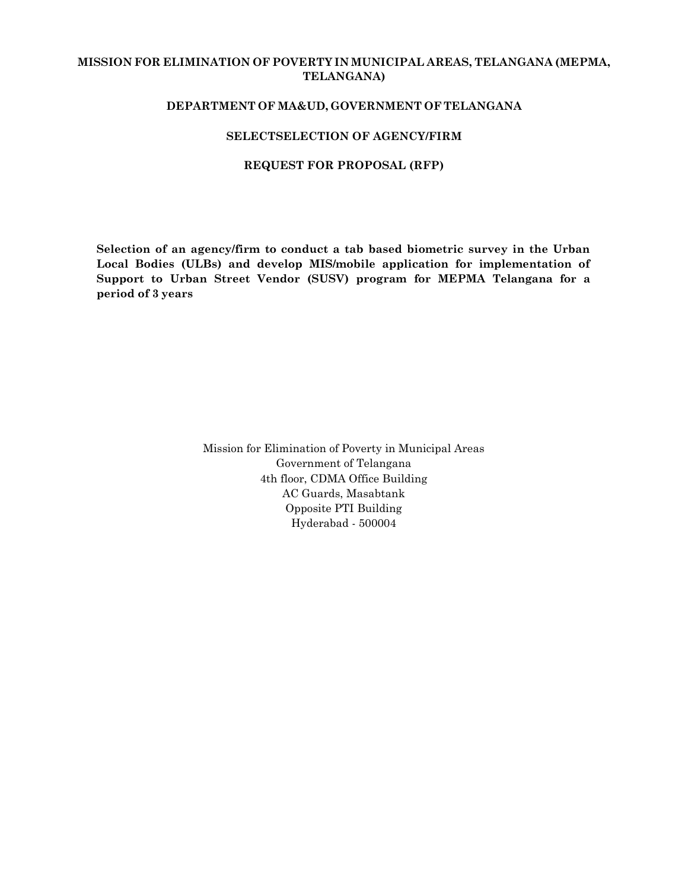## **MISSION FOR ELIMINATION OF POVERTY IN MUNICIPAL AREAS, TELANGANA (MEPMA, TELANGANA)**

### **DEPARTMENT OF MA&UD, GOVERNMENT OF TELANGANA**

### **SELECTSELECTION OF AGENCY/FIRM**

#### **REQUEST FOR PROPOSAL (RFP)**

**Selection of an agency/firm to conduct a tab based biometric survey in the Urban Local Bodies (ULBs) and develop MIS/mobile application for implementation of Support to Urban Street Vendor (SUSV) program for MEPMA Telangana for a period of 3 years**

> Mission for Elimination of Poverty in Municipal Areas Government of Telangana 4th floor, CDMA Office Building AC Guards, Masabtank Opposite PTI Building Hyderabad - 500004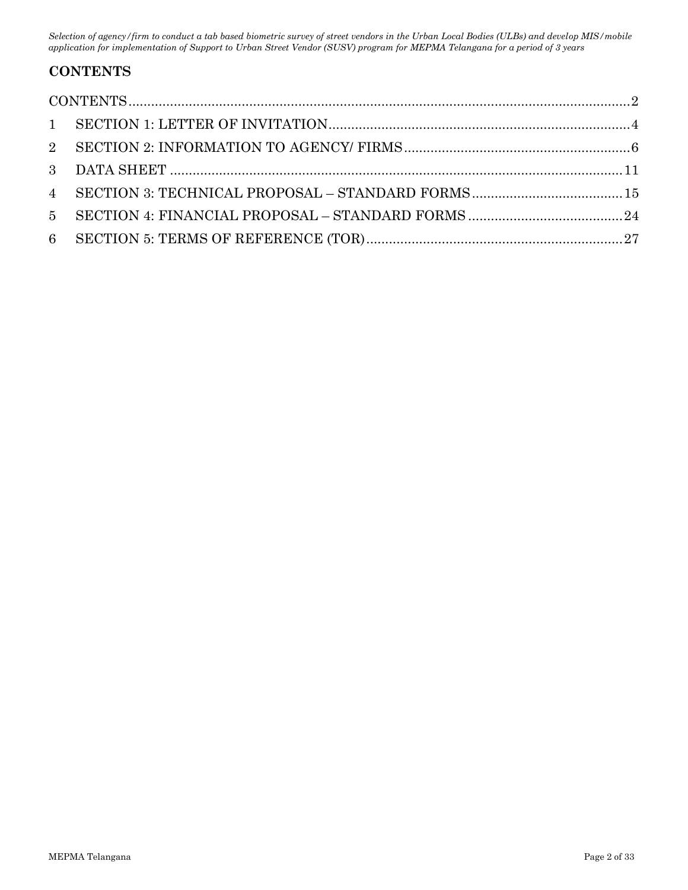# <span id="page-1-0"></span>**CONTENTS**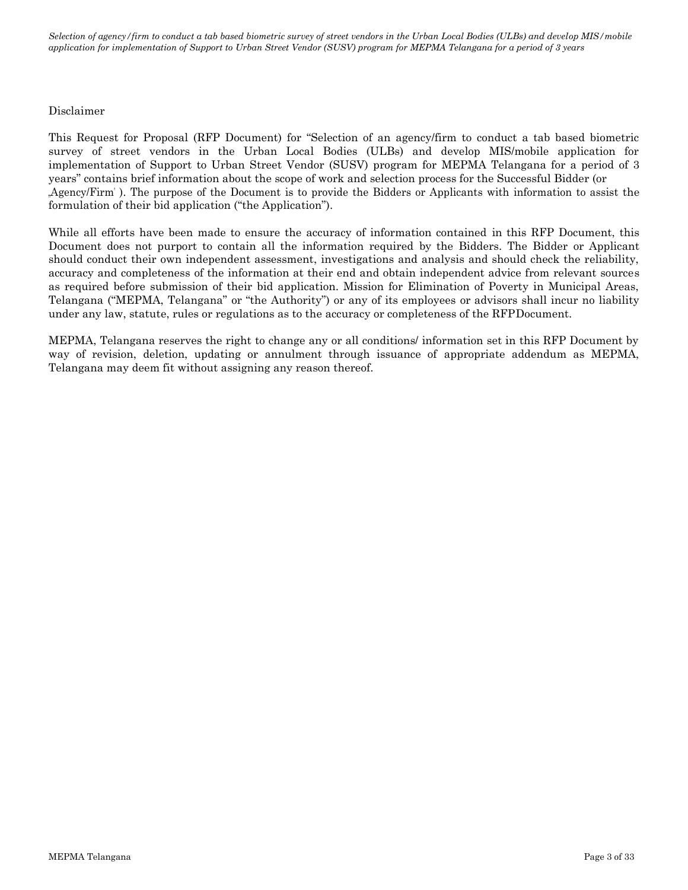### Disclaimer

This Request for Proposal (RFP Document) for "Selection of an agency/firm to conduct a tab based biometric survey of street vendors in the Urban Local Bodies (ULBs) and develop MIS/mobile application for implementation of Support to Urban Street Vendor (SUSV) program for MEPMA Telangana for a period of 3 years" contains brief information about the scope of work and selection process for the Successful Bidder (or "Agency/Firm" ). The purpose of the Document is to provide the Bidders or Applicants with information to assist the formulation of their bid application ("the Application").

While all efforts have been made to ensure the accuracy of information contained in this RFP Document, this Document does not purport to contain all the information required by the Bidders. The Bidder or Applicant should conduct their own independent assessment, investigations and analysis and should check the reliability, accuracy and completeness of the information at their end and obtain independent advice from relevant sources as required before submission of their bid application. Mission for Elimination of Poverty in Municipal Areas, Telangana ("MEPMA, Telangana" or "the Authority") or any of its employees or advisors shall incur no liability under any law, statute, rules or regulations as to the accuracy or completeness of the RFPDocument.

MEPMA, Telangana reserves the right to change any or all conditions/ information set in this RFP Document by way of revision, deletion, updating or annulment through issuance of appropriate addendum as MEPMA, Telangana may deem fit without assigning any reason thereof.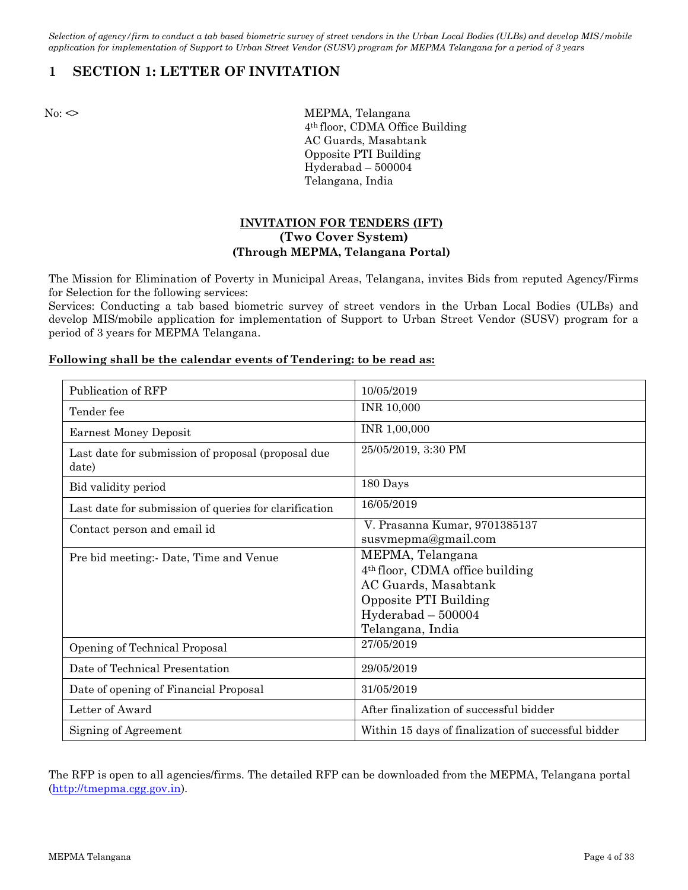# <span id="page-3-0"></span>**1 SECTION 1: LETTER OF INVITATION**

No: <> MEPMA, Telangana 4th floor, CDMA Office Building AC Guards, Masabtank Opposite PTI Building Hyderabad – 500004 Telangana, India

## **INVITATION FOR TENDERS (IFT) (Two Cover System) (Through MEPMA, Telangana Portal)**

The Mission for Elimination of Poverty in Municipal Areas, Telangana, invites Bids from reputed Agency/Firms for Selection for the following services:

Services: Conducting a tab based biometric survey of street vendors in the Urban Local Bodies (ULBs) and develop MIS/mobile application for implementation of Support to Urban Street Vendor (SUSV) program for a period of 3 years for MEPMA Telangana.

### **Following shall be the calendar events of Tendering: to be read as:**

| Publication of RFP                                          | 10/05/2019                                                                                                                                                   |
|-------------------------------------------------------------|--------------------------------------------------------------------------------------------------------------------------------------------------------------|
| Tender fee                                                  | <b>INR 10,000</b>                                                                                                                                            |
| <b>Earnest Money Deposit</b>                                | INR 1,00,000                                                                                                                                                 |
| Last date for submission of proposal (proposal due<br>date) | 25/05/2019, 3:30 PM                                                                                                                                          |
| Bid validity period                                         | 180 Days                                                                                                                                                     |
| Last date for submission of queries for clarification       | 16/05/2019                                                                                                                                                   |
| Contact person and email id                                 | V. Prasanna Kumar, 9701385137<br>susvmepma@gmail.com                                                                                                         |
| Pre bid meeting: Date, Time and Venue                       | MEPMA, Telangana<br>4 <sup>th</sup> floor, CDMA office building<br>AC Guards, Masabtank<br>Opposite PTI Building<br>$Hyderabad - 500004$<br>Telangana, India |
| Opening of Technical Proposal                               | 27/05/2019                                                                                                                                                   |
| Date of Technical Presentation                              | 29/05/2019                                                                                                                                                   |
| Date of opening of Financial Proposal                       | 31/05/2019                                                                                                                                                   |
| Letter of Award                                             | After finalization of successful bidder                                                                                                                      |
| Signing of Agreement                                        | Within 15 days of finalization of successful bidder                                                                                                          |

The RFP is open to all agencies/firms. The detailed RFP can be downloaded from the MEPMA, Telangana portal [\(http://tmepma.cgg.gov.in\)](http://tmepma.cgg.gov.in/).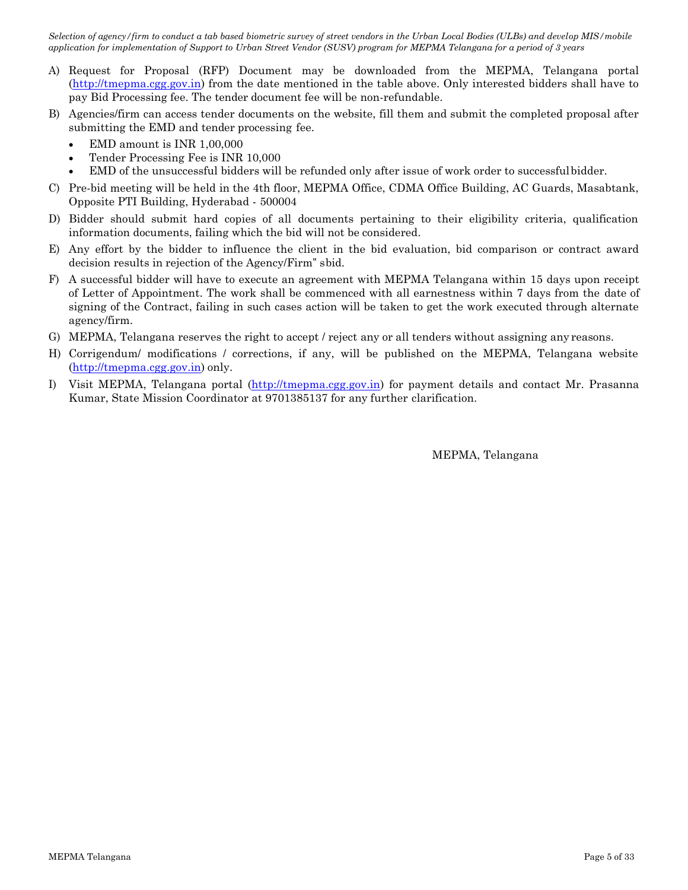- A) Request for Proposal (RFP) Document may be downloaded from the MEPMA, Telangana portal [\(http://tmepma.cgg.gov.in\)](http://tmepma.cgg.gov.in/) from the date mentioned in the table above. Only interested bidders shall have to pay Bid Processing fee. The tender document fee will be non-refundable.
- B) Agencies/firm can access tender documents on the website, fill them and submit the completed proposal after submitting the EMD and tender processing fee.
	- EMD amount is INR 1,00,000
	- Tender Processing Fee is INR 10,000
	- EMD of the unsuccessful bidders will be refunded only after issue of work order to successfulbidder.
- C) Pre-bid meeting will be held in the 4th floor, MEPMA Office, CDMA Office Building, AC Guards, Masabtank, Opposite PTI Building, Hyderabad - 500004
- D) Bidder should submit hard copies of all documents pertaining to their eligibility criteria, qualification information documents, failing which the bid will not be considered.
- E) Any effort by the bidder to influence the client in the bid evaluation, bid comparison or contract award decision results in rejection of the Agency/Firm" sbid.
- F) A successful bidder will have to execute an agreement with MEPMA Telangana within 15 days upon receipt of Letter of Appointment. The work shall be commenced with all earnestness within 7 days from the date of signing of the Contract, failing in such cases action will be taken to get the work executed through alternate agency/firm.
- G) MEPMA, Telangana reserves the right to accept / reject any or all tenders without assigning any reasons.
- H) Corrigendum/ modifications / corrections, if any, will be published on the MEPMA, Telangana website [\(http://tmepma.cgg.gov.in\)](http://tmepma.cgg.gov.in/) only.
- I) Visit MEPMA, Telangana portal [\(http://tmepma.cgg.gov.in\)](http://tmepma.cgg.gov.in/) for payment details and contact Mr. Prasanna Kumar, State Mission Coordinator at 9701385137 for any further clarification.

MEPMA, Telangana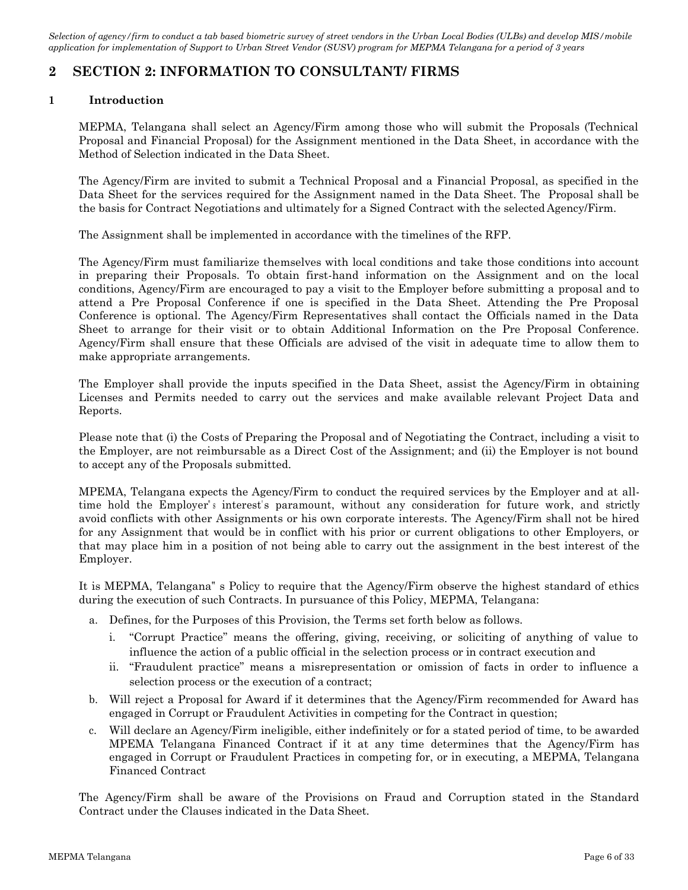# **2 SECTION 2: INFORMATION TO CONSULTANT/ FIRMS**

## **1 Introduction**

MEPMA, Telangana shall select an Agency/Firm among those who will submit the Proposals (Technical Proposal and Financial Proposal) for the Assignment mentioned in the Data Sheet, in accordance with the Method of Selection indicated in the Data Sheet.

The Agency/Firm are invited to submit a Technical Proposal and a Financial Proposal, as specified in the Data Sheet for the services required for the Assignment named in the Data Sheet. The Proposal shall be the basis for Contract Negotiations and ultimately for a Signed Contract with the selected Agency/Firm.

The Assignment shall be implemented in accordance with the timelines of the RFP.

The Agency/Firm must familiarize themselves with local conditions and take those conditions into account in preparing their Proposals. To obtain first-hand information on the Assignment and on the local conditions, Agency/Firm are encouraged to pay a visit to the Employer before submitting a proposal and to attend a Pre Proposal Conference if one is specified in the Data Sheet. Attending the Pre Proposal Conference is optional. The Agency/Firm Representatives shall contact the Officials named in the Data Sheet to arrange for their visit or to obtain Additional Information on the Pre Proposal Conference. Agency/Firm shall ensure that these Officials are advised of the visit in adequate time to allow them to make appropriate arrangements.

The Employer shall provide the inputs specified in the Data Sheet, assist the Agency/Firm in obtaining Licenses and Permits needed to carry out the services and make available relevant Project Data and Reports.

Please note that (i) the Costs of Preparing the Proposal and of Negotiating the Contract, including a visit to the Employer, are not reimbursable as a Direct Cost of the Assignment; and (ii) the Employer is not bound to accept any of the Proposals submitted.

MPEMA, Telangana expects the Agency/Firm to conduct the required services by the Employer and at alltime hold the Employer's interest's paramount, without any consideration for future work, and strictly avoid conflicts with other Assignments or his own corporate interests. The Agency/Firm shall not be hired for any Assignment that would be in conflict with his prior or current obligations to other Employers, or that may place him in a position of not being able to carry out the assignment in the best interest of the Employer.

It is MEPMA, Telangana" s Policy to require that the Agency/Firm observe the highest standard of ethics during the execution of such Contracts. In pursuance of this Policy, MEPMA, Telangana:

- a. Defines, for the Purposes of this Provision, the Terms set forth below as follows.
	- i. "Corrupt Practice" means the offering, giving, receiving, or soliciting of anything of value to influence the action of a public official in the selection process or in contract execution and
	- ii. "Fraudulent practice" means a misrepresentation or omission of facts in order to influence a selection process or the execution of a contract;
- b. Will reject a Proposal for Award if it determines that the Agency/Firm recommended for Award has engaged in Corrupt or Fraudulent Activities in competing for the Contract in question;
- c. Will declare an Agency/Firm ineligible, either indefinitely or for a stated period of time, to be awarded MPEMA Telangana Financed Contract if it at any time determines that the Agency/Firm has engaged in Corrupt or Fraudulent Practices in competing for, or in executing, a MEPMA, Telangana Financed Contract

The Agency/Firm shall be aware of the Provisions on Fraud and Corruption stated in the Standard Contract under the Clauses indicated in the Data Sheet.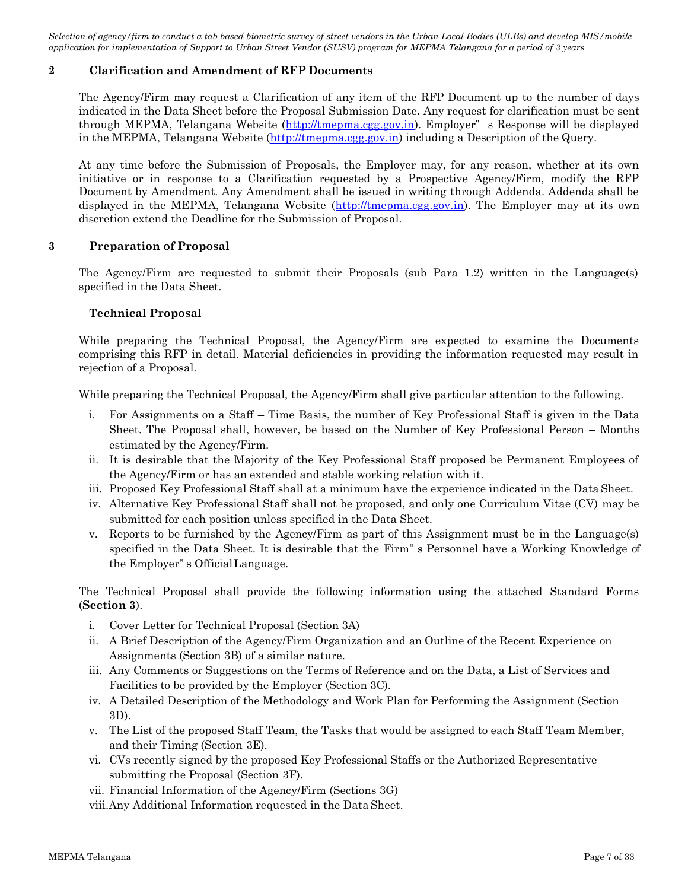### **2 Clarification and Amendment of RFP Documents**

The Agency/Firm may request a Clarification of any item of the RFP Document up to the number of days indicated in the Data Sheet before the Proposal Submission Date. Any request for clarification must be sent through MEPMA, Telangana Website [\(http://tmepma.cgg.gov.in\)](http://tmepma.cgg.gov.in/). Employer" s Response will be displayed in the MEPMA, Telangana Website [\(http://tmepma.cgg.gov.in\)](http://tmepma.cgg.gov.in/) including a Description of the Query.

At any time before the Submission of Proposals, the Employer may, for any reason, whether at its own initiative or in response to a Clarification requested by a Prospective Agency/Firm, modify the RFP Document by Amendment. Any Amendment shall be issued in writing through Addenda. Addenda shall be displayed in the MEPMA, Telangana Website [\(http://tmepma.cgg.gov.in\)](http://tmepma.cgg.gov.in/). The Employer may at its own discretion extend the Deadline for the Submission of Proposal.

### **3 Preparation of Proposal**

The Agency/Firm are requested to submit their Proposals (sub Para 1.2) written in the Language(s) specified in the Data Sheet.

### **Technical Proposal**

While preparing the Technical Proposal, the Agency/Firm are expected to examine the Documents comprising this RFP in detail. Material deficiencies in providing the information requested may result in rejection of a Proposal.

While preparing the Technical Proposal, the Agency/Firm shall give particular attention to the following.

- i. For Assignments on a Staff Time Basis, the number of Key Professional Staff is given in the Data Sheet. The Proposal shall, however, be based on the Number of Key Professional Person – Months estimated by the Agency/Firm.
- ii. It is desirable that the Majority of the Key Professional Staff proposed be Permanent Employees of the Agency/Firm or has an extended and stable working relation with it.
- iii. Proposed Key Professional Staff shall at a minimum have the experience indicated in the Data Sheet.
- iv. Alternative Key Professional Staff shall not be proposed, and only one Curriculum Vitae (CV) may be submitted for each position unless specified in the Data Sheet.
- v. Reports to be furnished by the Agency/Firm as part of this Assignment must be in the Language(s) specified in the Data Sheet. It is desirable that the Firm" s Personnel have a Working Knowledge of the Employer" s OfficialLanguage.

The Technical Proposal shall provide the following information using the attached Standard Forms (**Section 3**).

- i. Cover Letter for Technical Proposal (Section 3A)
- ii. A Brief Description of the Agency/Firm Organization and an Outline of the Recent Experience on Assignments (Section 3B) of a similar nature.
- iii. Any Comments or Suggestions on the Terms of Reference and on the Data, a List of Services and Facilities to be provided by the Employer (Section 3C).
- iv. A Detailed Description of the Methodology and Work Plan for Performing the Assignment (Section 3D).
- v. The List of the proposed Staff Team, the Tasks that would be assigned to each Staff Team Member, and their Timing (Section 3E).
- vi. CVs recently signed by the proposed Key Professional Staffs or the Authorized Representative submitting the Proposal (Section 3F).
- vii. Financial Information of the Agency/Firm (Sections 3G)
- viii.Any Additional Information requested in the Data Sheet.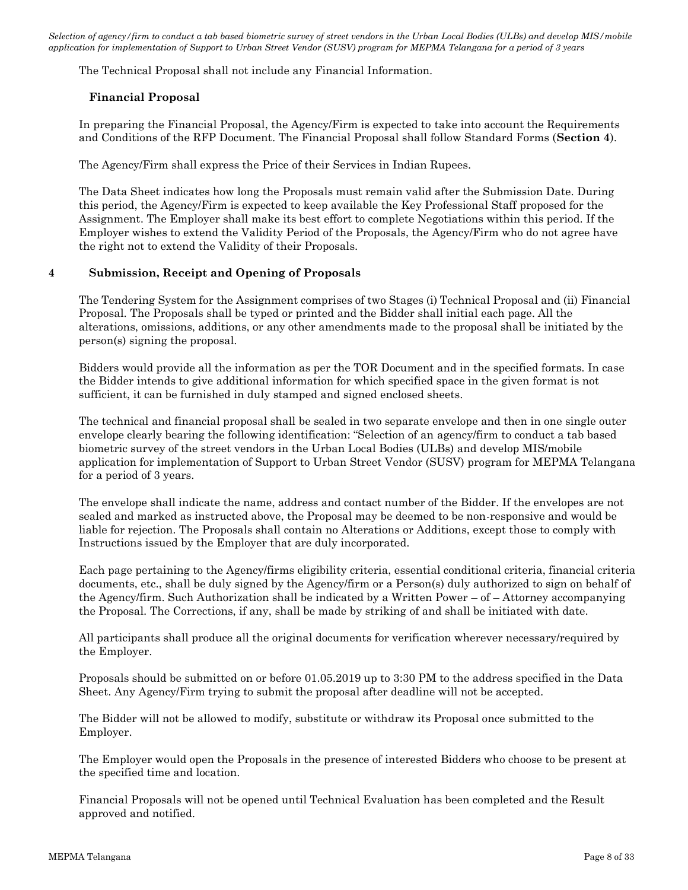The Technical Proposal shall not include any Financial Information.

### **Financial Proposal**

In preparing the Financial Proposal, the Agency/Firm is expected to take into account the Requirements and Conditions of the RFP Document. The Financial Proposal shall follow Standard Forms (**Section 4**).

The Agency/Firm shall express the Price of their Services in Indian Rupees.

The Data Sheet indicates how long the Proposals must remain valid after the Submission Date. During this period, the Agency/Firm is expected to keep available the Key Professional Staff proposed for the Assignment. The Employer shall make its best effort to complete Negotiations within this period. If the Employer wishes to extend the Validity Period of the Proposals, the Agency/Firm who do not agree have the right not to extend the Validity of their Proposals.

### **4 Submission, Receipt and Opening of Proposals**

The Tendering System for the Assignment comprises of two Stages (i) Technical Proposal and (ii) Financial Proposal. The Proposals shall be typed or printed and the Bidder shall initial each page. All the alterations, omissions, additions, or any other amendments made to the proposal shall be initiated by the person(s) signing the proposal.

Bidders would provide all the information as per the TOR Document and in the specified formats. In case the Bidder intends to give additional information for which specified space in the given format is not sufficient, it can be furnished in duly stamped and signed enclosed sheets.

The technical and financial proposal shall be sealed in two separate envelope and then in one single outer envelope clearly bearing the following identification: "Selection of an agency/firm to conduct a tab based biometric survey of the street vendors in the Urban Local Bodies (ULBs) and develop MIS/mobile application for implementation of Support to Urban Street Vendor (SUSV) program for MEPMA Telangana for a period of 3 years.

The envelope shall indicate the name, address and contact number of the Bidder. If the envelopes are not sealed and marked as instructed above, the Proposal may be deemed to be non-responsive and would be liable for rejection. The Proposals shall contain no Alterations or Additions, except those to comply with Instructions issued by the Employer that are duly incorporated.

Each page pertaining to the Agency/firms eligibility criteria, essential conditional criteria, financial criteria documents, etc., shall be duly signed by the Agency/firm or a Person(s) duly authorized to sign on behalf of the Agency/firm. Such Authorization shall be indicated by a Written Power – of – Attorney accompanying the Proposal. The Corrections, if any, shall be made by striking of and shall be initiated with date.

All participants shall produce all the original documents for verification wherever necessary/required by the Employer.

Proposals should be submitted on or before 01.05.2019 up to 3:30 PM to the address specified in the Data Sheet. Any Agency/Firm trying to submit the proposal after deadline will not be accepted.

The Bidder will not be allowed to modify, substitute or withdraw its Proposal once submitted to the Employer.

The Employer would open the Proposals in the presence of interested Bidders who choose to be present at the specified time and location.

Financial Proposals will not be opened until Technical Evaluation has been completed and the Result approved and notified.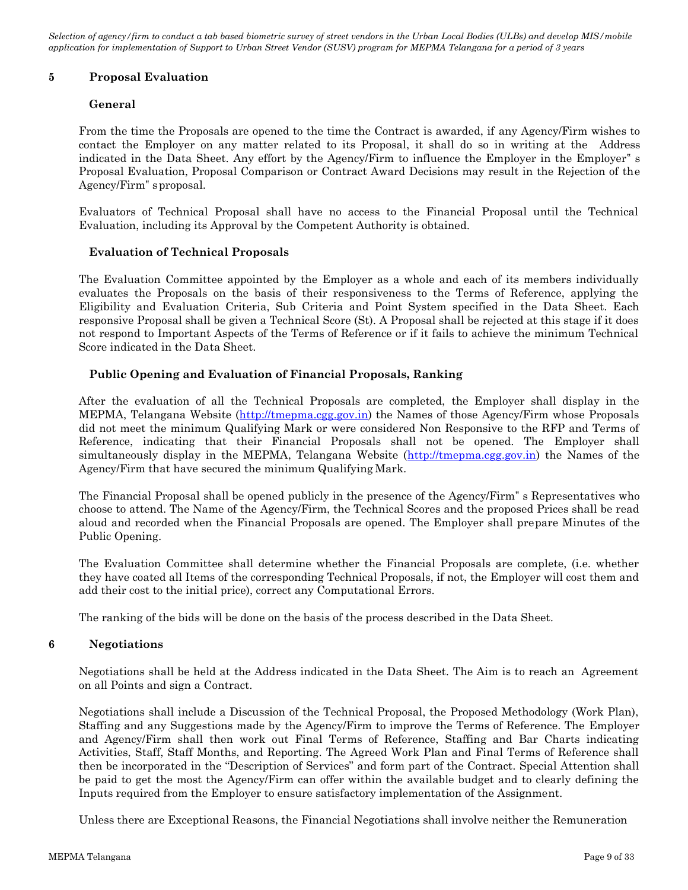### **5 Proposal Evaluation**

### **General**

From the time the Proposals are opened to the time the Contract is awarded, if any Agency/Firm wishes to contact the Employer on any matter related to its Proposal, it shall do so in writing at the Address indicated in the Data Sheet. Any effort by the Agency/Firm to influence the Employer in the Employer" s Proposal Evaluation, Proposal Comparison or Contract Award Decisions may result in the Rejection of the Agency/Firm" sproposal.

Evaluators of Technical Proposal shall have no access to the Financial Proposal until the Technical Evaluation, including its Approval by the Competent Authority is obtained.

### **Evaluation of Technical Proposals**

The Evaluation Committee appointed by the Employer as a whole and each of its members individually evaluates the Proposals on the basis of their responsiveness to the Terms of Reference, applying the Eligibility and Evaluation Criteria, Sub Criteria and Point System specified in the Data Sheet. Each responsive Proposal shall be given a Technical Score (St). A Proposal shall be rejected at this stage if it does not respond to Important Aspects of the Terms of Reference or if it fails to achieve the minimum Technical Score indicated in the Data Sheet.

### **Public Opening and Evaluation of Financial Proposals, Ranking**

After the evaluation of all the Technical Proposals are completed, the Employer shall display in the MEPMA, Telangana Website [\(http://tmepma.cgg.gov.in\)](http://tmepma.cgg.gov.in/) the Names of those Agency/Firm whose Proposals did not meet the minimum Qualifying Mark or were considered Non Responsive to the RFP and Terms of Reference, indicating that their Financial Proposals shall not be opened. The Employer shall simultaneously display in the MEPMA, Telangana Website [\(http://tmepma.cgg.gov.in\)](http://tmepma.cgg.gov.in/) the Names of the Agency/Firm that have secured the minimum Qualifying Mark.

The Financial Proposal shall be opened publicly in the presence of the Agency/Firm" s Representatives who choose to attend. The Name of the Agency/Firm, the Technical Scores and the proposed Prices shall be read aloud and recorded when the Financial Proposals are opened. The Employer shall prepare Minutes of the Public Opening.

The Evaluation Committee shall determine whether the Financial Proposals are complete, (i.e. whether they have coated all Items of the corresponding Technical Proposals, if not, the Employer will cost them and add their cost to the initial price), correct any Computational Errors.

The ranking of the bids will be done on the basis of the process described in the Data Sheet.

### **6 Negotiations**

Negotiations shall be held at the Address indicated in the Data Sheet. The Aim is to reach an Agreement on all Points and sign a Contract.

Negotiations shall include a Discussion of the Technical Proposal, the Proposed Methodology (Work Plan), Staffing and any Suggestions made by the Agency/Firm to improve the Terms of Reference. The Employer and Agency/Firm shall then work out Final Terms of Reference, Staffing and Bar Charts indicating Activities, Staff, Staff Months, and Reporting. The Agreed Work Plan and Final Terms of Reference shall then be incorporated in the "Description of Services" and form part of the Contract. Special Attention shall be paid to get the most the Agency/Firm can offer within the available budget and to clearly defining the Inputs required from the Employer to ensure satisfactory implementation of the Assignment.

Unless there are Exceptional Reasons, the Financial Negotiations shall involve neither the Remuneration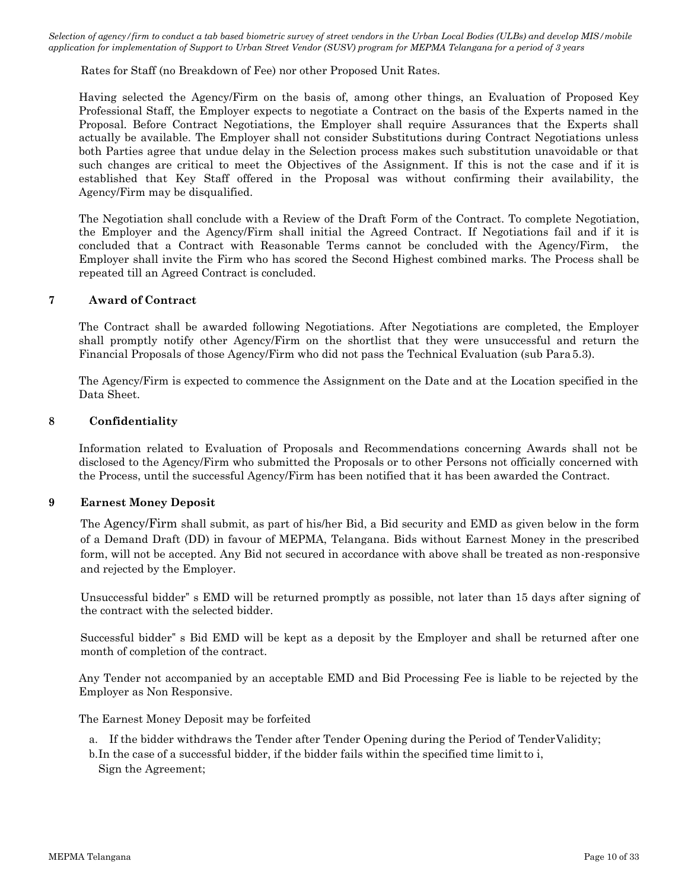Rates for Staff (no Breakdown of Fee) nor other Proposed Unit Rates.

Having selected the Agency/Firm on the basis of, among other things, an Evaluation of Proposed Key Professional Staff, the Employer expects to negotiate a Contract on the basis of the Experts named in the Proposal. Before Contract Negotiations, the Employer shall require Assurances that the Experts shall actually be available. The Employer shall not consider Substitutions during Contract Negotiations unless both Parties agree that undue delay in the Selection process makes such substitution unavoidable or that such changes are critical to meet the Objectives of the Assignment. If this is not the case and if it is established that Key Staff offered in the Proposal was without confirming their availability, the Agency/Firm may be disqualified.

The Negotiation shall conclude with a Review of the Draft Form of the Contract. To complete Negotiation, the Employer and the Agency/Firm shall initial the Agreed Contract. If Negotiations fail and if it is concluded that a Contract with Reasonable Terms cannot be concluded with the Agency/Firm, the Employer shall invite the Firm who has scored the Second Highest combined marks. The Process shall be repeated till an Agreed Contract is concluded.

#### **7 Award of Contract**

The Contract shall be awarded following Negotiations. After Negotiations are completed, the Employer shall promptly notify other Agency/Firm on the shortlist that they were unsuccessful and return the Financial Proposals of those Agency/Firm who did not pass the Technical Evaluation (sub Para5.3).

The Agency/Firm is expected to commence the Assignment on the Date and at the Location specified in the Data Sheet.

#### **8 Confidentiality**

Information related to Evaluation of Proposals and Recommendations concerning Awards shall not be disclosed to the Agency/Firm who submitted the Proposals or to other Persons not officially concerned with the Process, until the successful Agency/Firm has been notified that it has been awarded the Contract.

### **9 Earnest Money Deposit**

The Agency/Firm shall submit, as part of his/her Bid, a Bid security and EMD as given below in the form of a Demand Draft (DD) in favour of MEPMA, Telangana. Bids without Earnest Money in the prescribed form, will not be accepted. Any Bid not secured in accordance with above shall be treated as non-responsive and rejected by the Employer.

Unsuccessful bidder" s EMD will be returned promptly as possible, not later than 15 days after signing of the contract with the selected bidder.

Successful bidder" s Bid EMD will be kept as a deposit by the Employer and shall be returned after one month of completion of the contract.

Any Tender not accompanied by an acceptable EMD and Bid Processing Fee is liable to be rejected by the Employer as Non Responsive.

The Earnest Money Deposit may be forfeited

- a. If the bidder withdraws the Tender after Tender Opening during the Period of TenderValidity;
- b.In the case of a successful bidder, if the bidder fails within the specified time limitto i, Sign the Agreement;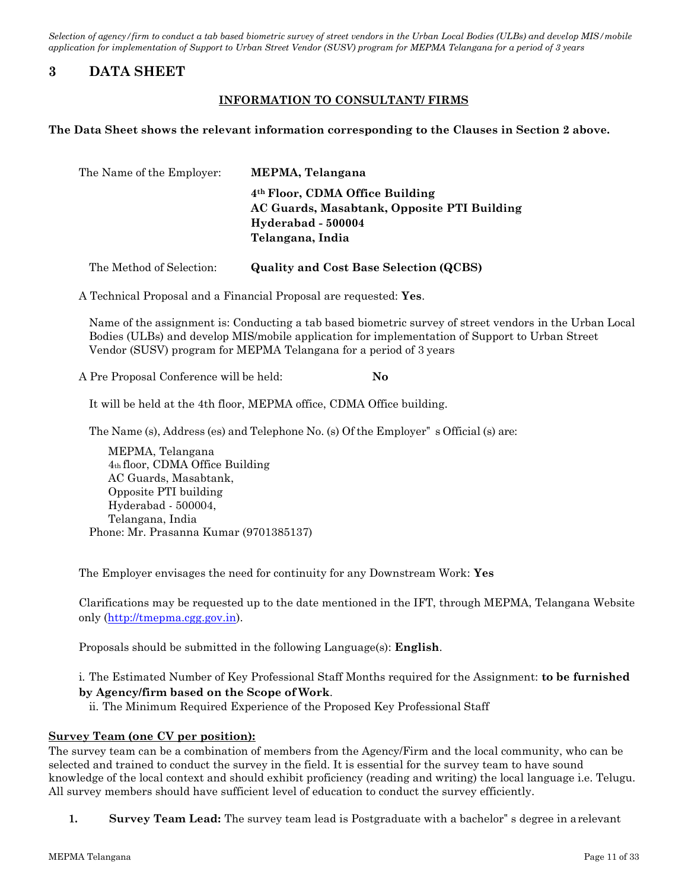## <span id="page-10-0"></span>**3 DATA SHEET**

### **INFORMATION TO CONSULTANT/ FIRMS**

#### **The Data Sheet shows the relevant information corresponding to the Clauses in Section 2 above.**

| The Name of the Employer: | MEPMA, Telangana                                                                                                                     |
|---------------------------|--------------------------------------------------------------------------------------------------------------------------------------|
|                           | 4 <sup>th</sup> Floor, CDMA Office Building<br>AC Guards, Masabtank, Opposite PTI Building<br>Hyderabad - 500004<br>Telangana, India |
| The Method of Selection:  | <b>Quality and Cost Base Selection (QCBS)</b>                                                                                        |

A Technical Proposal and a Financial Proposal are requested: **Yes**.

Name of the assignment is: Conducting a tab based biometric survey of street vendors in the Urban Local Bodies (ULBs) and develop MIS/mobile application for implementation of Support to Urban Street Vendor (SUSV) program for MEPMA Telangana for a period of 3 years

A Pre Proposal Conference will be held: **No**

It will be held at the 4th floor, MEPMA office, CDMA Office building.

The Name (s), Address (es) and Telephone No. (s) Ofthe Employer" s Official (s) are:

MEPMA, Telangana 4th floor, CDMA Office Building AC Guards, Masabtank, Opposite PTI building Hyderabad - 500004, Telangana, India Phone: Mr. Prasanna Kumar (9701385137)

The Employer envisages the need for continuity for any Downstream Work: **Yes**

Clarifications may be requested up to the date mentioned in the IFT, through MEPMA, Telangana Website only [\(http://tmepma.cgg.gov.in\)](http://tmepma.cgg.gov.in/).

Proposals should be submitted in the following Language(s): **English**.

### i. The Estimated Number of Key Professional Staff Months required for the Assignment: **to be furnished by Agency/firm based on the Scope of Work**.

ii. The Minimum Required Experience of the Proposed Key Professional Staff

### **Survey Team (one CV per position):**

The survey team can be a combination of members from the Agency/Firm and the local community, who can be selected and trained to conduct the survey in the field. It is essential for the survey team to have sound knowledge of the local context and should exhibit proficiency (reading and writing) the local language i.e. Telugu. All survey members should have sufficient level of education to conduct the survey efficiently.

**1. Survey Team Lead:** The survey team lead is Postgraduate with a bachelor" s degree in arelevant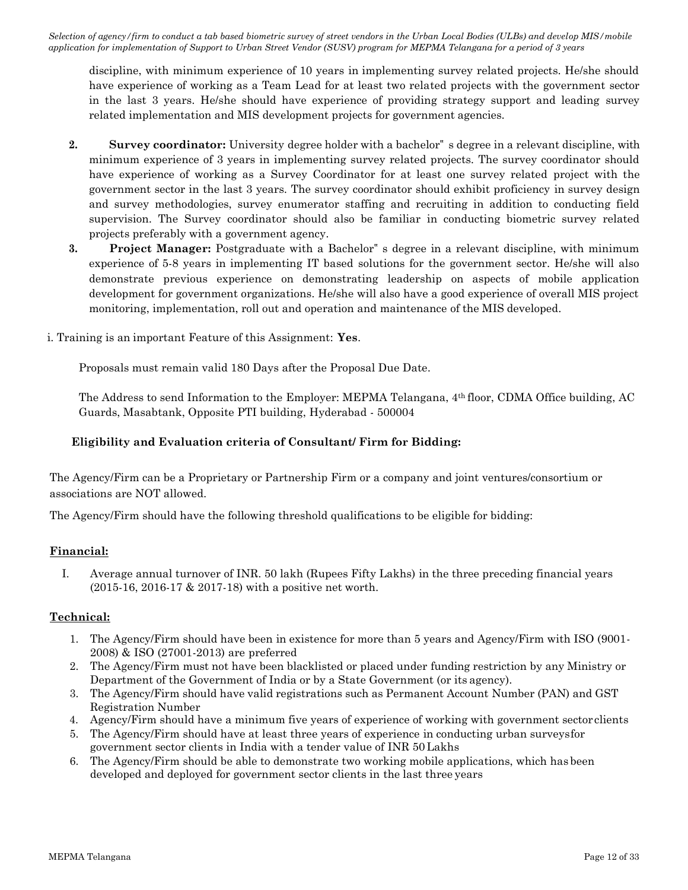discipline, with minimum experience of 10 years in implementing survey related projects. He/she should have experience of working as a Team Lead for at least two related projects with the government sector in the last 3 years. He/she should have experience of providing strategy support and leading survey related implementation and MIS development projects for government agencies.

- **2. Survey coordinator:** University degree holder with a bachelor" s degree in a relevant discipline, with minimum experience of 3 years in implementing survey related projects. The survey coordinator should have experience of working as a Survey Coordinator for at least one survey related project with the government sector in the last 3 years. The survey coordinator should exhibit proficiency in survey design and survey methodologies, survey enumerator staffing and recruiting in addition to conducting field supervision. The Survey coordinator should also be familiar in conducting biometric survey related projects preferably with a government agency.
- **3. Project Manager:** Postgraduate with a Bachelor" s degree in a relevant discipline, with minimum experience of 5-8 years in implementing IT based solutions for the government sector. He/she will also demonstrate previous experience on demonstrating leadership on aspects of mobile application development for government organizations. He/she will also have a good experience of overall MIS project monitoring, implementation, roll out and operation and maintenance of the MIS developed.
- i. Training is an important Feature of this Assignment: **Yes**.

Proposals must remain valid 180 Days after the Proposal Due Date.

The Address to send Information to the Employer: MEPMA Telangana, 4th floor, CDMA Office building, AC Guards, Masabtank, Opposite PTI building, Hyderabad - 500004

### **Eligibility and Evaluation criteria of Consultant/ Firm for Bidding:**

The Agency/Firm can be a Proprietary or Partnership Firm or a company and joint ventures/consortium or associations are NOT allowed.

The Agency/Firm should have the following threshold qualifications to be eligible for bidding:

### **Financial:**

I. Average annual turnover of INR. 50 lakh (Rupees Fifty Lakhs) in the three preceding financial years (2015-16, 2016-17 & 2017-18) with a positive net worth.

### **Technical:**

- 1. The Agency/Firm should have been in existence for more than 5 years and Agency/Firm with ISO (9001- 2008) & ISO (27001-2013) are preferred
- 2. The Agency/Firm must not have been blacklisted or placed under funding restriction by any Ministry or Department of the Government of India or by a State Government (or its agency).
- 3. The Agency/Firm should have valid registrations such as Permanent Account Number (PAN) and GST Registration Number
- 4. Agency/Firm should have a minimum five years of experience of working with government sector clients
- 5. The Agency/Firm should have at least three years of experience in conducting urban surveysfor government sector clients in India with a tender value of INR 50 Lakhs
- 6. The Agency/Firm should be able to demonstrate two working mobile applications, which has been developed and deployed for government sector clients in the last three years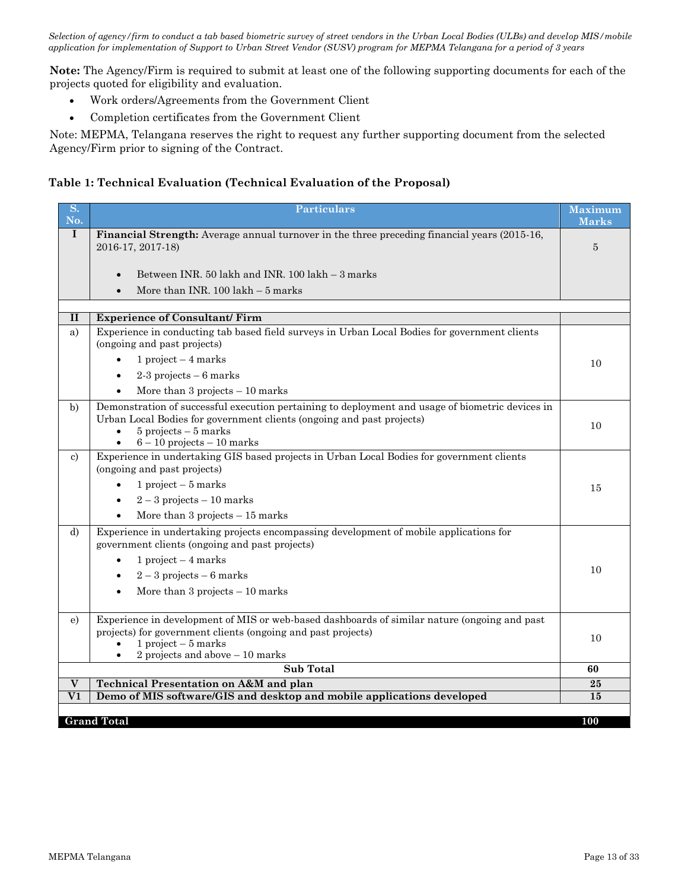**Note:** The Agency/Firm is required to submit at least one of the following supporting documents for each of the projects quoted for eligibility and evaluation.

- Work orders/Agreements from the Government Client
- Completion certificates from the Government Client

Note: MEPMA, Telangana reserves the right to request any further supporting document from the selected Agency/Firm prior to signing of the Contract.

## **Table 1: Technical Evaluation (Technical Evaluation of the Proposal)**

| $\overline{\mathbf{S}}$ .<br>No. | <b>Particulars</b>                                                                                                                                                                                                                                  | <b>Maximum</b><br><b>Marks</b> |
|----------------------------------|-----------------------------------------------------------------------------------------------------------------------------------------------------------------------------------------------------------------------------------------------------|--------------------------------|
| $\mathbf I$                      | <b>Financial Strength:</b> Average annual turnover in the three preceding financial years (2015-16,<br>2016-17, 2017-18)                                                                                                                            | $\overline{5}$                 |
|                                  | Between INR, 50 lakh and INR, 100 lakh - 3 marks<br>$\bullet$                                                                                                                                                                                       |                                |
|                                  | More than INR. $100$ lakh $-5$ marks                                                                                                                                                                                                                |                                |
|                                  |                                                                                                                                                                                                                                                     |                                |
| $\mathbf{I}$                     | <b>Experience of Consultant/Firm</b>                                                                                                                                                                                                                |                                |
| a)                               | Experience in conducting tab based field surveys in Urban Local Bodies for government clients<br>(ongoing and past projects)                                                                                                                        |                                |
|                                  | 1 project $-4$ marks<br>$\bullet$                                                                                                                                                                                                                   | 10                             |
|                                  | $2-3$ projects $-6$ marks                                                                                                                                                                                                                           |                                |
|                                  | More than $3$ projects $-10$ marks                                                                                                                                                                                                                  |                                |
| b)                               | Demonstration of successful execution pertaining to deployment and usage of biometric devices in<br>Urban Local Bodies for government clients (ongoing and past projects)<br>$5$ projects $-5$ marks<br>$6 - 10$ projects $- 10$ marks<br>$\bullet$ | 10                             |
| c)                               | Experience in undertaking GIS based projects in Urban Local Bodies for government clients<br>(ongoing and past projects)                                                                                                                            |                                |
|                                  | 1 project $-5$ marks<br>$\bullet$                                                                                                                                                                                                                   | 15                             |
|                                  | $2-3$ projects $-10$ marks<br>$\bullet$                                                                                                                                                                                                             |                                |
|                                  | More than $3$ projects $-15$ marks                                                                                                                                                                                                                  |                                |
| d)                               | Experience in undertaking projects encompassing development of mobile applications for<br>government clients (ongoing and past projects)                                                                                                            |                                |
|                                  | 1 project $-4$ marks                                                                                                                                                                                                                                | 10                             |
|                                  | $2-3$ projects $-6$ marks<br>$\bullet$                                                                                                                                                                                                              |                                |
|                                  | More than $3$ projects $-10$ marks<br>$\bullet$                                                                                                                                                                                                     |                                |
| e)                               | Experience in development of MIS or web-based dashboards of similar nature (ongoing and past<br>projects) for government clients (ongoing and past projects)<br>$1$ project $-5$ marks<br>2 projects and above $-10$ marks                          | 10                             |
|                                  | <b>Sub Total</b>                                                                                                                                                                                                                                    | 60                             |
| $\mathbf{V}$                     | <b>Technical Presentation on A&amp;M and plan</b>                                                                                                                                                                                                   | 25                             |
| $\overline{\text{v1}}$           | Demo of MIS software/GIS and desktop and mobile applications developed                                                                                                                                                                              | 15                             |
|                                  | <b>Grand Total</b>                                                                                                                                                                                                                                  | 100                            |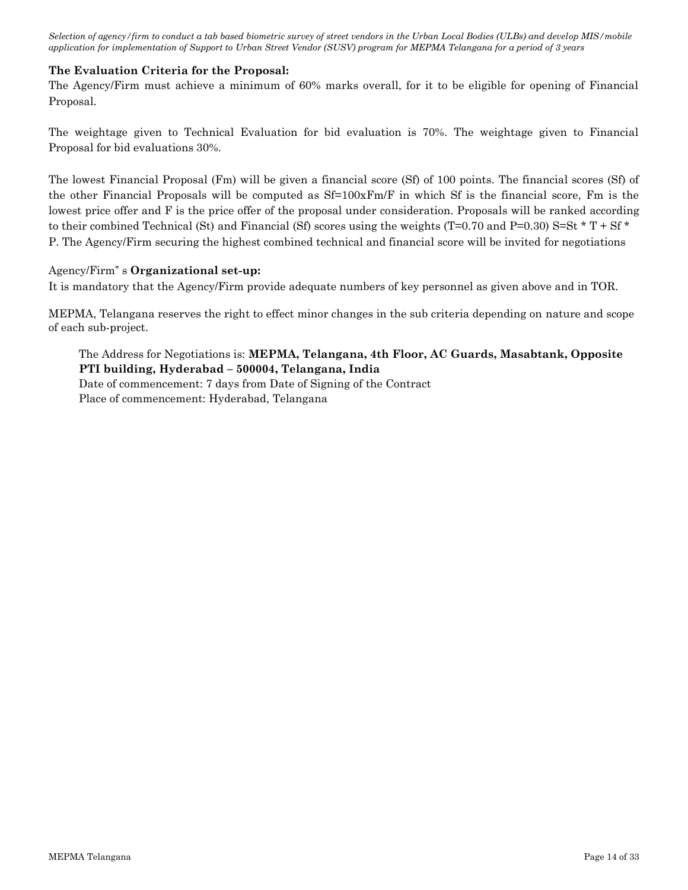### **The Evaluation Criteria for the Proposal:**

The Agency/Firm must achieve a minimum of 60% marks overall, for it to be eligible for opening of Financial Proposal.

The weightage given to Technical Evaluation for bid evaluation is 70%. The weightage given to Financial Proposal for bid evaluations 30%.

The lowest Financial Proposal (Fm) will be given a financial score (Sf) of 100 points. The financial scores (Sf) of the other Financial Proposals will be computed as  $Sf=100xFm/F$  in which Sf is the financial score, Fm is the lowest price offer and F is the price offer of the proposal under consideration. Proposals will be ranked according to their combined Technical (St) and Financial (Sf) scores using the weights (T=0.70 and P=0.30) S=St  $*$  T + Sf  $*$ P. The Agency/Firm securing the highest combined technical and financial score will be invited for negotiations

### Agency/Firm" s **Organizational set-up:**

It is mandatory that the Agency/Firm provide adequate numbers of key personnel as given above and in TOR.

MEPMA, Telangana reserves the right to effect minor changes in the sub criteria depending on nature and scope of each sub-project.

The Address for Negotiations is: **MEPMA, Telangana, 4th Floor, AC Guards, Masabtank, Opposite PTI building, Hyderabad – 500004, Telangana, India** Date of commencement: 7 days from Date of Signing of the Contract Place of commencement: Hyderabad, Telangana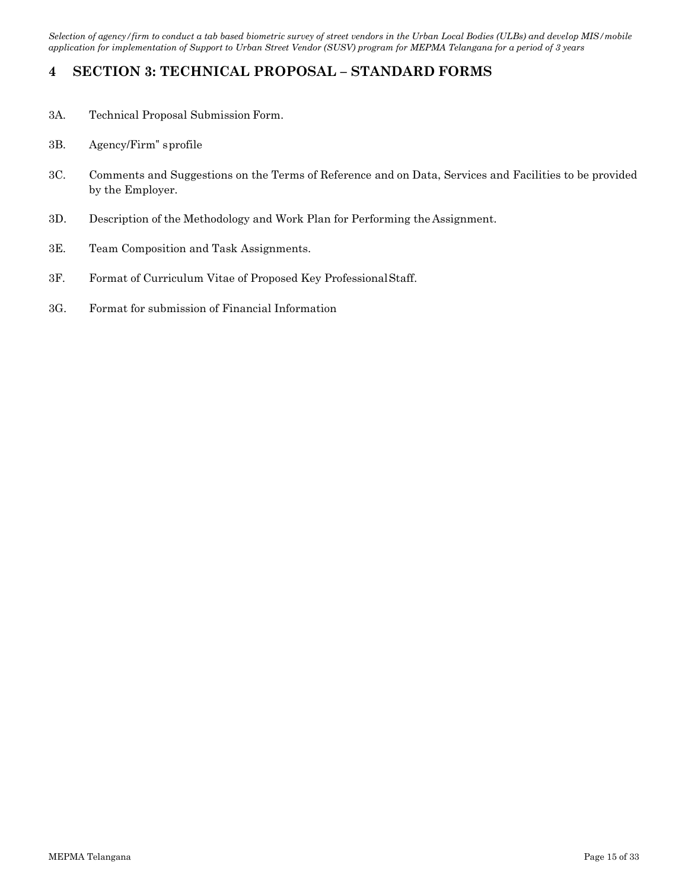# <span id="page-14-0"></span>**4 SECTION 3: TECHNICAL PROPOSAL – STANDARD FORMS**

- 3A. Technical Proposal Submission Form.
- 3B. Agency/Firm" sprofile
- 3C. Comments and Suggestions on the Terms of Reference and on Data, Services and Facilities to be provided by the Employer.
- 3D. Description of the Methodology and Work Plan for Performing the Assignment.
- 3E. Team Composition and Task Assignments.
- 3F. Format of Curriculum Vitae of Proposed Key ProfessionalStaff.
- 3G. Format for submission of Financial Information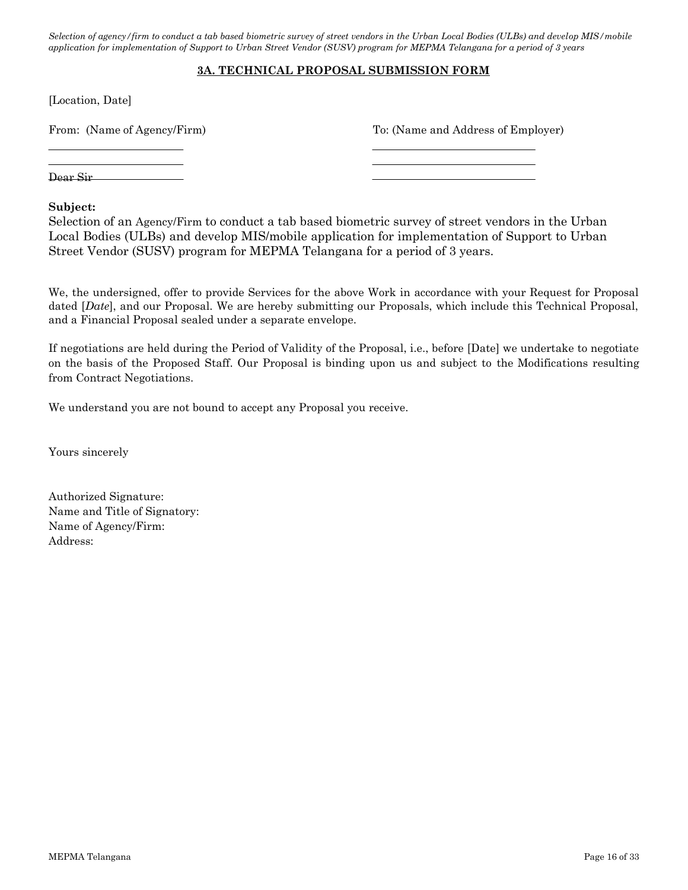### **3A. TECHNICAL PROPOSAL SUBMISSION FORM**

[Location, Date]

From: (Name of Agency/Firm) To: (Name and Address of Employer)

Dear Sir

### **Subject:**

Selection of an Agency/Firm to conduct a tab based biometric survey of street vendors in the Urban Local Bodies (ULBs) and develop MIS/mobile application for implementation of Support to Urban Street Vendor (SUSV) program for MEPMA Telangana for a period of 3 years.

We, the undersigned, offer to provide Services for the above Work in accordance with your Request for Proposal dated [*Date*], and our Proposal. We are hereby submitting our Proposals, which include this Technical Proposal, and a Financial Proposal sealed under a separate envelope.

If negotiations are held during the Period of Validity of the Proposal, i.e., before [Date] we undertake to negotiate on the basis of the Proposed Staff. Our Proposal is binding upon us and subject to the Modifications resulting from Contract Negotiations.

We understand you are not bound to accept any Proposal you receive.

Yours sincerely

Authorized Signature: Name and Title of Signatory: Name of Agency/Firm: Address: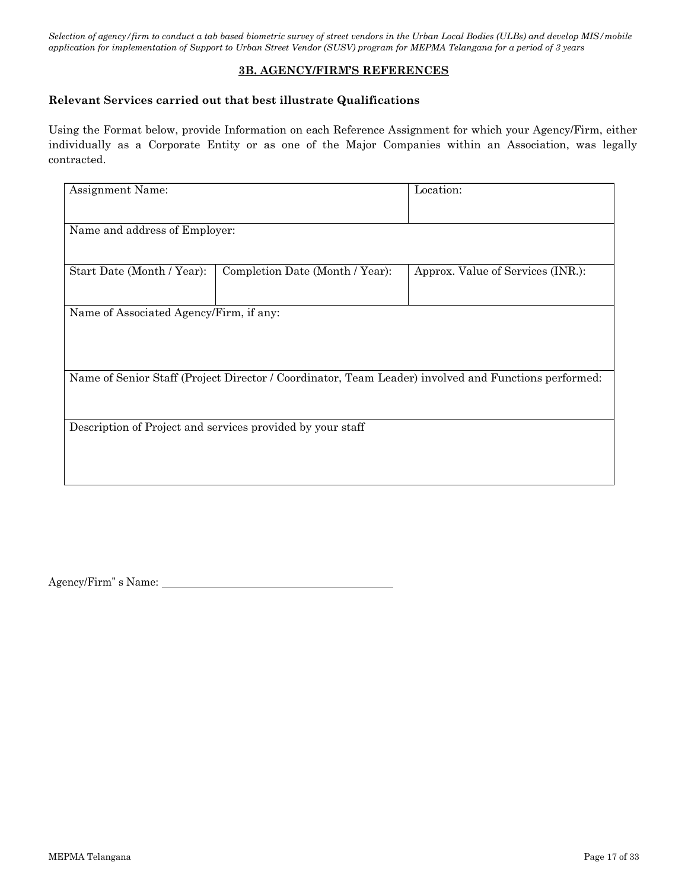### **3B. AGENCY/FIRM'S REFERENCES**

### **Relevant Services carried out that best illustrate Qualifications**

Using the Format below, provide Information on each Reference Assignment for which your Agency/Firm, either individually as a Corporate Entity or as one of the Major Companies within an Association, was legally contracted.

| Assignment Name:                                           |                                 | Location:                                                                                            |  |  |
|------------------------------------------------------------|---------------------------------|------------------------------------------------------------------------------------------------------|--|--|
|                                                            |                                 |                                                                                                      |  |  |
|                                                            |                                 |                                                                                                      |  |  |
| Name and address of Employer:                              |                                 |                                                                                                      |  |  |
|                                                            |                                 |                                                                                                      |  |  |
|                                                            |                                 |                                                                                                      |  |  |
|                                                            |                                 |                                                                                                      |  |  |
| Start Date (Month / Year):                                 | Completion Date (Month / Year): | Approx. Value of Services (INR.):                                                                    |  |  |
|                                                            |                                 |                                                                                                      |  |  |
|                                                            |                                 |                                                                                                      |  |  |
| Name of Associated Agency/Firm, if any:                    |                                 |                                                                                                      |  |  |
|                                                            |                                 |                                                                                                      |  |  |
|                                                            |                                 |                                                                                                      |  |  |
|                                                            |                                 |                                                                                                      |  |  |
|                                                            |                                 |                                                                                                      |  |  |
|                                                            |                                 |                                                                                                      |  |  |
|                                                            |                                 | Name of Senior Staff (Project Director / Coordinator, Team Leader) involved and Functions performed: |  |  |
|                                                            |                                 |                                                                                                      |  |  |
|                                                            |                                 |                                                                                                      |  |  |
|                                                            |                                 |                                                                                                      |  |  |
| Description of Project and services provided by your staff |                                 |                                                                                                      |  |  |
|                                                            |                                 |                                                                                                      |  |  |
|                                                            |                                 |                                                                                                      |  |  |
|                                                            |                                 |                                                                                                      |  |  |
|                                                            |                                 |                                                                                                      |  |  |
|                                                            |                                 |                                                                                                      |  |  |
|                                                            |                                 |                                                                                                      |  |  |

Agency/Firm" s Name: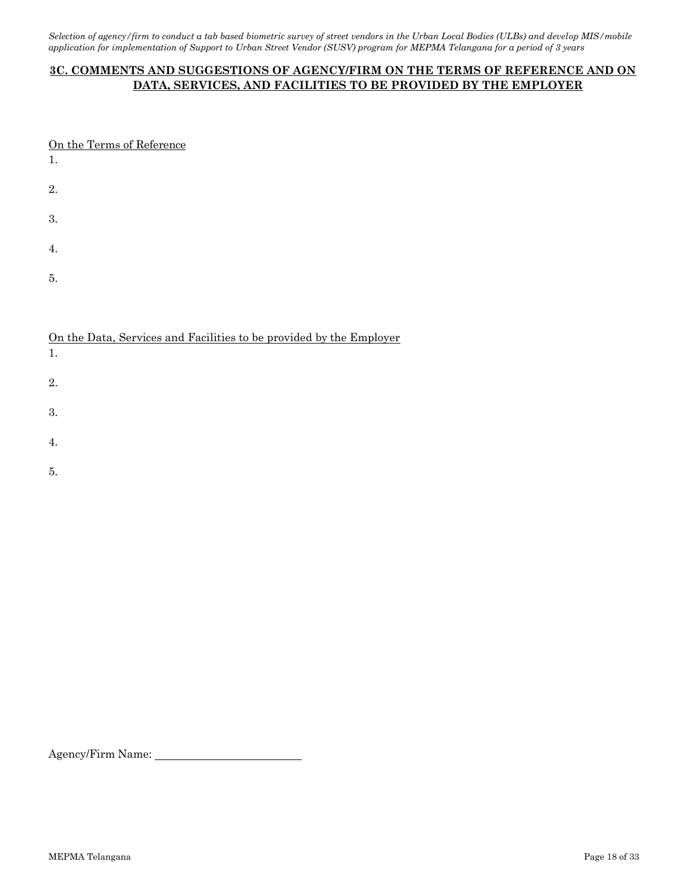## **3C. COMMENTS AND SUGGESTIONS OF AGENCY/FIRM ON THE TERMS OF REFERENCE AND ON DATA, SERVICES, AND FACILITIES TO BE PROVIDED BY THE EMPLOYER**

| On the Terms of Reference<br>1. |
|---------------------------------|
| 2.                              |
| 3.                              |
| 4.                              |
| 5.                              |
|                                 |

### On the Data, Services and Facilities to be provided by the Employer

| 1. |  |  |  |
|----|--|--|--|
| 2. |  |  |  |
| 3. |  |  |  |
| 4. |  |  |  |

- 
- 5.

Agency/Firm Name: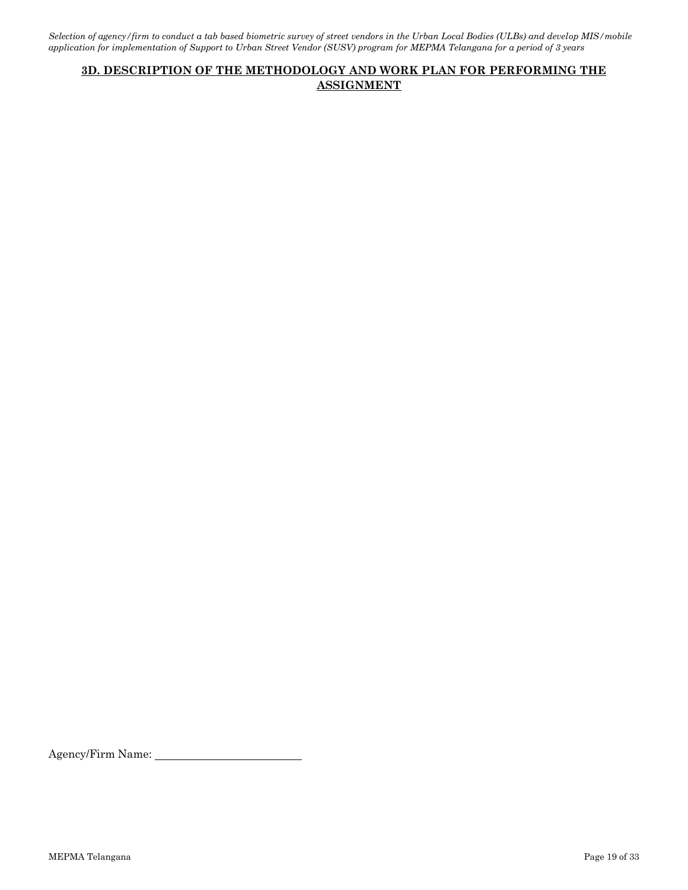## **3D. DESCRIPTION OF THE METHODOLOGY AND WORK PLAN FOR PERFORMING THE ASSIGNMENT**

Agency/Firm Name: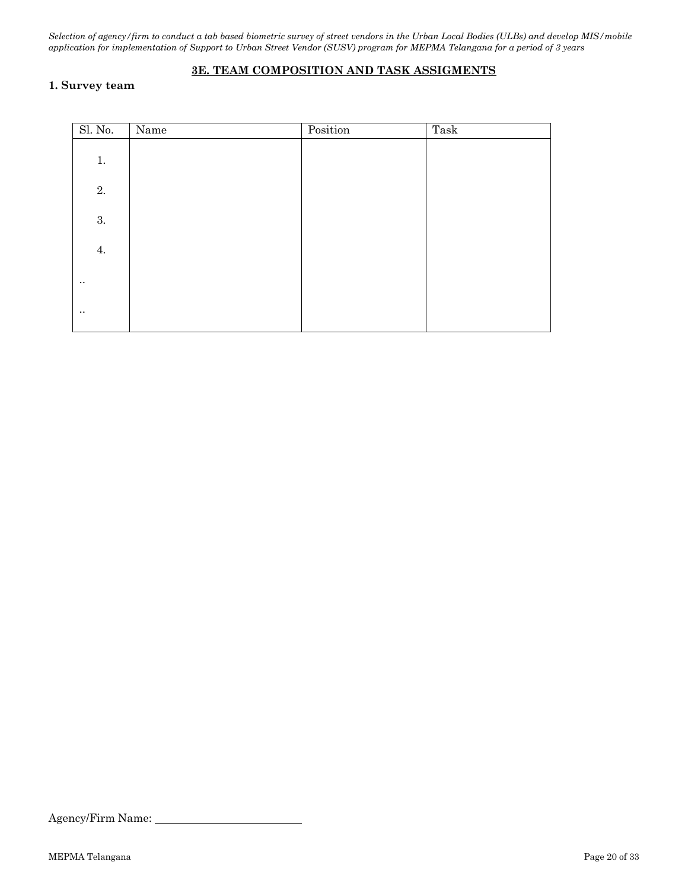## **3E. TEAM COMPOSITION AND TASK ASSIGMENTS**

### **1. Survey team**

| Sl. No.     | Name | Position | Task |
|-------------|------|----------|------|
| $1.$        |      |          |      |
| 2.          |      |          |      |
| $3. \,$     |      |          |      |
| 4.          |      |          |      |
| $\bullet$ . |      |          |      |
| $\ddotsc$   |      |          |      |

Agency/Firm Name: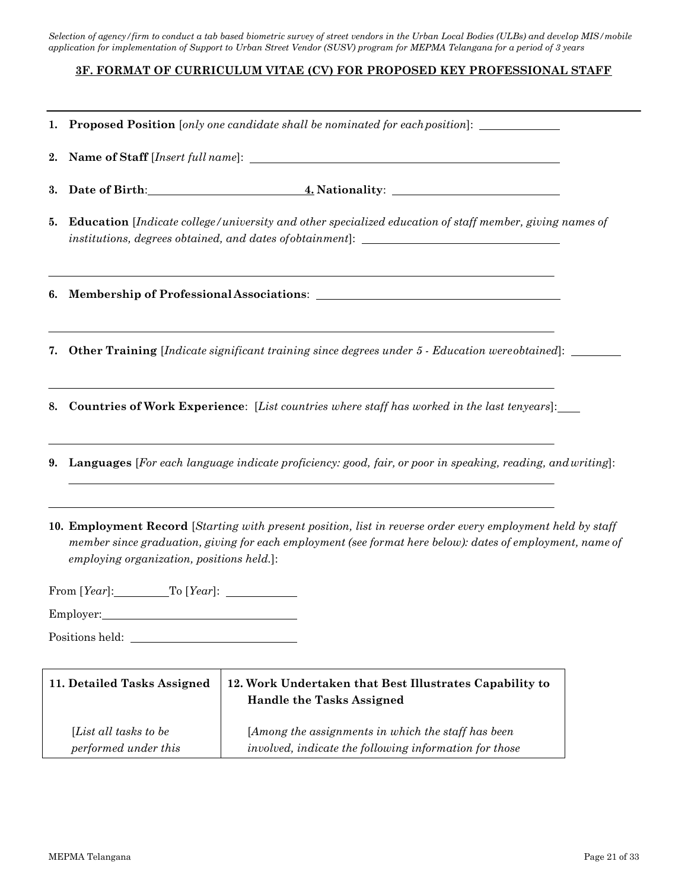### **3F. FORMAT OF CURRICULUM VITAE (CV) FOR PROPOSED KEY PROFESSIONAL STAFF**

|    |                                                                                                                                                                                                     | 1. Proposed Position [only one candidate shall be nominated for each position]: ____________________                                                                                                                     |  |  |  |
|----|-----------------------------------------------------------------------------------------------------------------------------------------------------------------------------------------------------|--------------------------------------------------------------------------------------------------------------------------------------------------------------------------------------------------------------------------|--|--|--|
| 2. |                                                                                                                                                                                                     |                                                                                                                                                                                                                          |  |  |  |
| 3. |                                                                                                                                                                                                     |                                                                                                                                                                                                                          |  |  |  |
| 5. | <b>Education</b> [Indicate college/university and other specialized education of staff member, giving names of<br>institutions, degrees obtained, and dates of obtainment]: _______________________ |                                                                                                                                                                                                                          |  |  |  |
|    |                                                                                                                                                                                                     | ,我们也不能在这里的时候,我们也不能在这里的时候,我们也不能会在这里的时候,我们也不能会在这里的时候,我们也不能会在这里的时候,我们也不能会在这里的时候,我们也                                                                                                                                         |  |  |  |
| 7. |                                                                                                                                                                                                     | ,我们也不会有什么。""我们的人,我们也不会有什么?""我们的人,我们也不会有什么?""我们的人,我们也不会有什么?""我们的人,我们也不会有什么?""我们的人<br><b>Other Training</b> [Indicate significant training since degrees under 5 - Education were obtained]:                               |  |  |  |
| 8. |                                                                                                                                                                                                     | <b>Countries of Work Experience:</b> [List countries where staff has worked in the last tenyears]:                                                                                                                       |  |  |  |
| 9. | <b>Languages</b> [For each language indicate proficiency: good, fair, or poor in speaking, reading, and writing]:                                                                                   |                                                                                                                                                                                                                          |  |  |  |
|    | employing organization, positions held.]:                                                                                                                                                           | 10. Employment Record [Starting with present position, list in reverse order every employment held by staff<br>member since graduation, giving for each employment (see format here below): dates of employment, name of |  |  |  |
|    |                                                                                                                                                                                                     |                                                                                                                                                                                                                          |  |  |  |
|    | Employer:                                                                                                                                                                                           |                                                                                                                                                                                                                          |  |  |  |
|    |                                                                                                                                                                                                     |                                                                                                                                                                                                                          |  |  |  |
|    | 11. Detailed Tasks Assigned                                                                                                                                                                         | 12. Work Undertaken that Best Illustrates Capability to<br><b>Handle the Tasks Assigned</b>                                                                                                                              |  |  |  |
|    | [List all tasks to be<br>performed under this                                                                                                                                                       | [Among the assignments in which the staff has been<br>involved, indicate the following information for those                                                                                                             |  |  |  |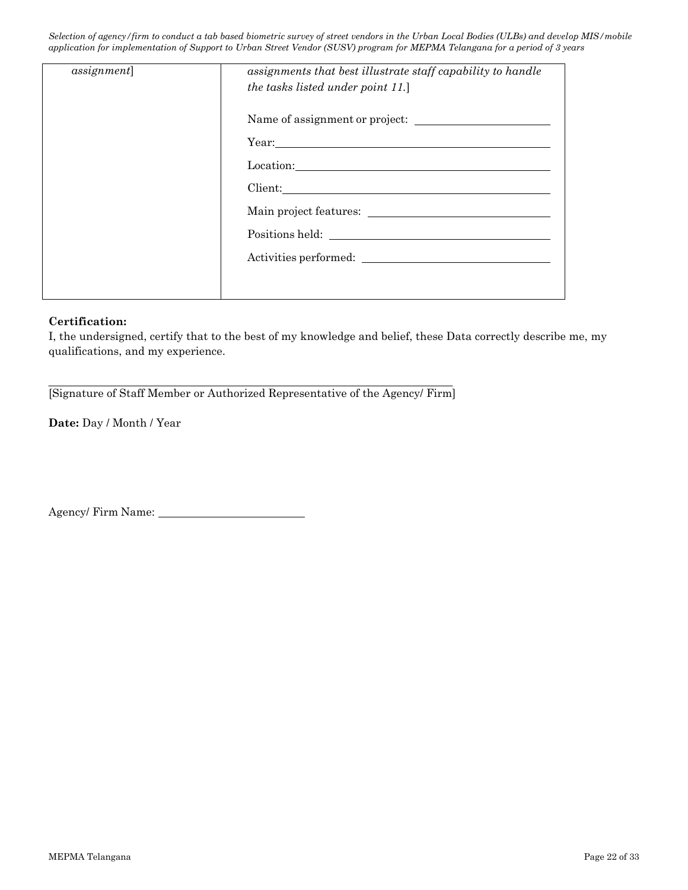| <i>assignment</i> | assignments that best illustrate staff capability to handle<br>the tasks listed under point 11.]                                                                                                                              |
|-------------------|-------------------------------------------------------------------------------------------------------------------------------------------------------------------------------------------------------------------------------|
|                   |                                                                                                                                                                                                                               |
|                   | Year: The Commission of the Commission of the Commission of the Commission of the Commission of the Commission of the Commission of the Commission of the Commission of the Commission of the Commission of the Commission of |
|                   | Location: New York Changes and Security and Security and Security and Security and Security and Security and Security and Security and Security and Security and Security and Security and Security and Security and Security |
|                   | Client:                                                                                                                                                                                                                       |
|                   |                                                                                                                                                                                                                               |
|                   |                                                                                                                                                                                                                               |
|                   |                                                                                                                                                                                                                               |
|                   |                                                                                                                                                                                                                               |

### **Certification:**

I, the undersigned, certify that to the best of my knowledge and belief, these Data correctly describe me, my qualifications, and my experience.

[Signature of Staff Member or Authorized Representative of the Agency/ Firm]

**Date:** Day / Month / Year

Agency/ Firm Name: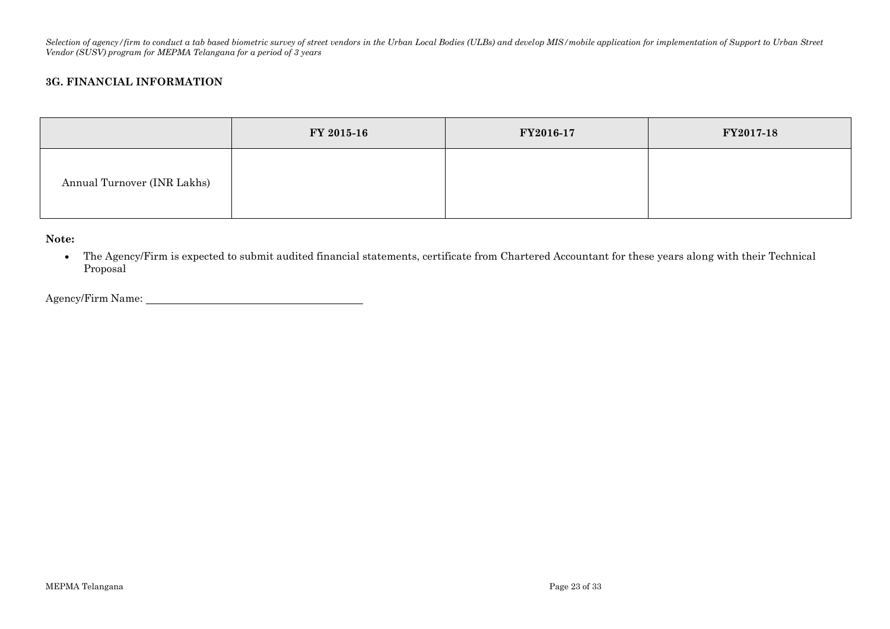### **3G. FINANCIAL INFORMATION**

|                             | FY 2015-16 | FY2016-17 | FY2017-18 |
|-----------------------------|------------|-----------|-----------|
| Annual Turnover (INR Lakhs) |            |           |           |

**Note:**

 The Agency/Firm is expected to submit audited financial statements, certificate from Chartered Accountant for these years along with their Technical Proposal

Agency/Firm Name: 1988. The Contract of the Contract of the Contract of the Contract of the Contract of the Contract of the Contract of the Contract of the Contract of the Contract of the Contract of the Contract of the Co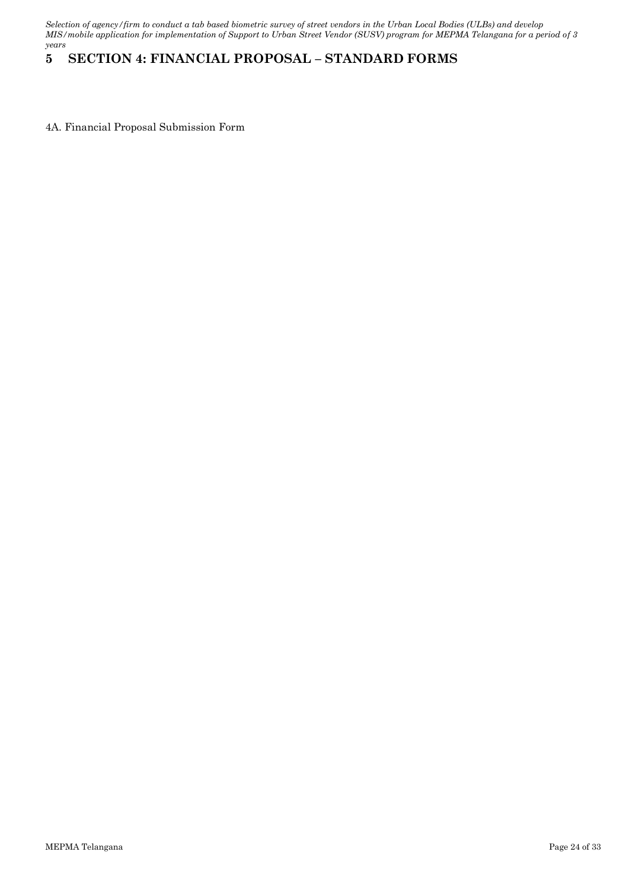# <span id="page-23-0"></span>**5 SECTION 4: FINANCIAL PROPOSAL – STANDARD FORMS**

4A. Financial Proposal Submission Form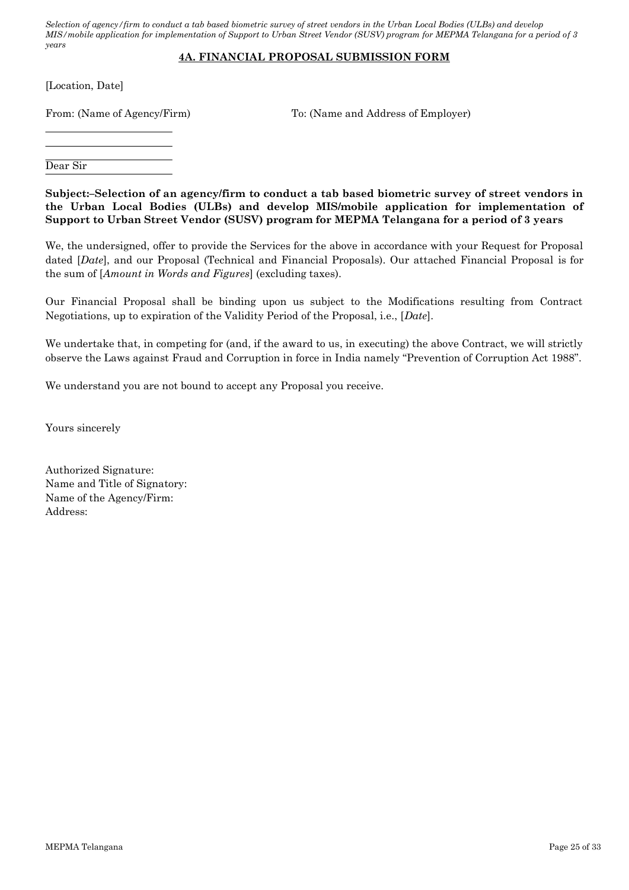## **4A. FINANCIAL PROPOSAL SUBMISSION FORM**

[Location, Date]

From: (Name of Agency/Firm) To: (Name and Address of Employer)

Dear Sir

**Subject:–Selection of an agency/firm to conduct a tab based biometric survey of street vendors in the Urban Local Bodies (ULBs) and develop MIS/mobile application for implementation of Support to Urban Street Vendor (SUSV) program for MEPMA Telangana for a period of 3 years**

We, the undersigned, offer to provide the Services for the above in accordance with your Request for Proposal dated [*Date*], and our Proposal (Technical and Financial Proposals). Our attached Financial Proposal is for the sum of [*Amount in Words and Figures*] (excluding taxes).

Our Financial Proposal shall be binding upon us subject to the Modifications resulting from Contract Negotiations, up to expiration of the Validity Period of the Proposal, i.e., [*Date*].

We undertake that, in competing for (and, if the award to us, in executing) the above Contract, we will strictly observe the Laws against Fraud and Corruption in force in India namely "Prevention of Corruption Act 1988".

We understand you are not bound to accept any Proposal you receive.

Yours sincerely

Authorized Signature: Name and Title of Signatory: Name of the Agency/Firm: Address: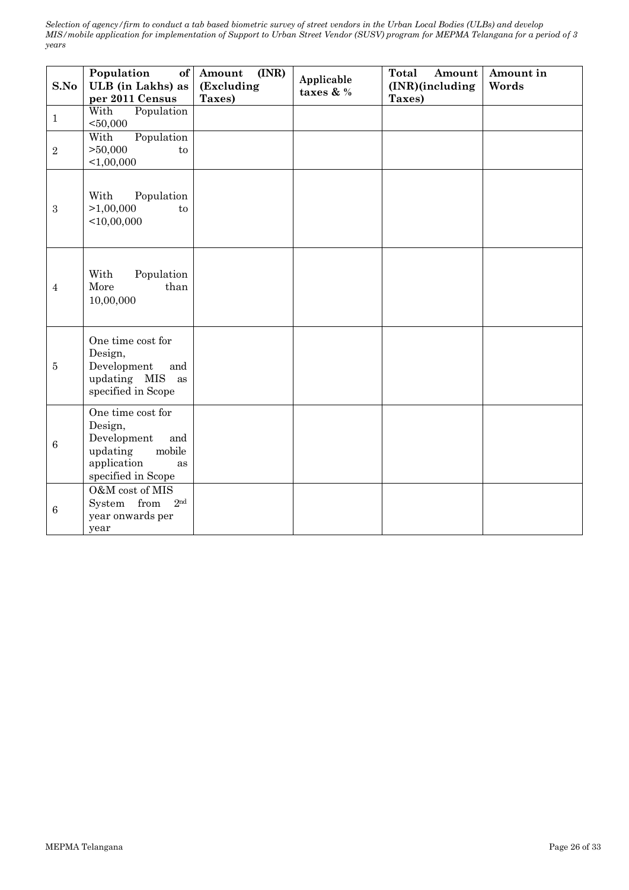| S.No            | Population<br>of<br>ULB (in Lakhs) as<br>per 2011 Census                                                            | (INR)<br>Amount<br>(Excluding<br>Taxes) | Applicable<br>taxes & % | Total<br>Amount<br>(INR)(including<br>Taxes) | Amount in<br>Words |
|-----------------|---------------------------------------------------------------------------------------------------------------------|-----------------------------------------|-------------------------|----------------------------------------------|--------------------|
| $\mathbf{1}$    | With<br>Population<br>$50,000$                                                                                      |                                         |                         |                                              |                    |
| $\sqrt{2}$      | Population<br>With<br>>50,000<br>to<br>< 1,00,000                                                                   |                                         |                         |                                              |                    |
| $\sqrt{3}$      | With<br>Population<br>>1,00,000<br>to<br>$<$ 10,00,000                                                              |                                         |                         |                                              |                    |
| $\overline{4}$  | With<br>Population<br>More<br>than<br>10,00,000                                                                     |                                         |                         |                                              |                    |
| $\bf 5$         | One time cost for<br>Design,<br>Development<br>and<br>updating MIS<br>as<br>specified in Scope                      |                                         |                         |                                              |                    |
| $6\phantom{.}6$ | One time cost for<br>Design,<br>Development<br>and<br>updating<br>mobile<br>application<br>as<br>specified in Scope |                                         |                         |                                              |                    |
| 6               | O&M cost of MIS<br>System from<br>2 <sub>nd</sub><br>year onwards per<br>year                                       |                                         |                         |                                              |                    |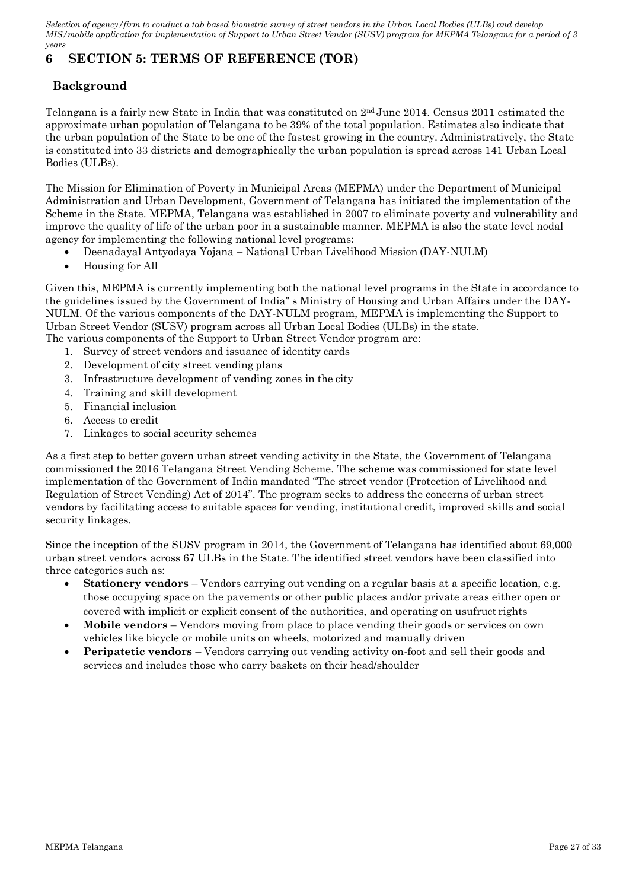# <span id="page-26-0"></span>**6 SECTION 5: TERMS OF REFERENCE (TOR)**

# **Background**

Telangana is a fairly new State in India that was constituted on  $2<sup>nd</sup>$  June 2014. Census 2011 estimated the approximate urban population of Telangana to be 39% of the total population. Estimates also indicate that the urban population of the State to be one of the fastest growing in the country. Administratively, the State is constituted into 33 districts and demographically the urban population is spread across 141 Urban Local Bodies (ULBs).

The Mission for Elimination of Poverty in Municipal Areas (MEPMA) under the Department of Municipal Administration and Urban Development, Government of Telangana has initiated the implementation of the Scheme in the State. MEPMA, Telangana was established in 2007 to eliminate poverty and vulnerability and improve the quality of life of the urban poor in a sustainable manner. MEPMA is also the state level nodal agency for implementing the following national level programs:

- Deenadayal Antyodaya Yojana National Urban Livelihood Mission (DAY-NULM)
- Housing for All

Given this, MEPMA is currently implementing both the national level programs in the State in accordance to the guidelines issued by the Government of India" s Ministry of Housing and Urban Affairs under the DAY-NULM. Of the various components of the DAY-NULM program, MEPMA is implementing the Support to Urban Street Vendor (SUSV) program across all Urban Local Bodies (ULBs) in the state. The various components of the Support to Urban Street Vendor program are:

- 1. Survey of street vendors and issuance of identity cards
- 2. Development of city street vending plans
- 3. Infrastructure development of vending zones in the city
- 4. Training and skill development
- 5. Financial inclusion
- 6. Access to credit
- 7. Linkages to social security schemes

As a first step to better govern urban street vending activity in the State, the Government of Telangana commissioned the 2016 Telangana Street Vending Scheme. The scheme was commissioned for state level implementation of the Government of India mandated "The street vendor (Protection of Livelihood and Regulation of Street Vending) Act of 2014". The program seeks to address the concerns of urban street vendors by facilitating access to suitable spaces for vending, institutional credit, improved skills and social security linkages.

Since the inception of the SUSV program in 2014, the Government of Telangana has identified about 69,000 urban street vendors across 67 ULBs in the State. The identified street vendors have been classified into three categories such as:

- **Stationery vendors**  Vendors carrying out vending on a regular basis at a specific location, e.g. those occupying space on the pavements or other public places and/or private areas either open or covered with implicit or explicit consent of the authorities, and operating on usufruct rights
- **Mobile vendors**  Vendors moving from place to place vending their goods or services on own vehicles like bicycle or mobile units on wheels, motorized and manually driven
- **Peripatetic vendors** Vendors carrying out vending activity on-foot and sell their goods and services and includes those who carry baskets on their head/shoulder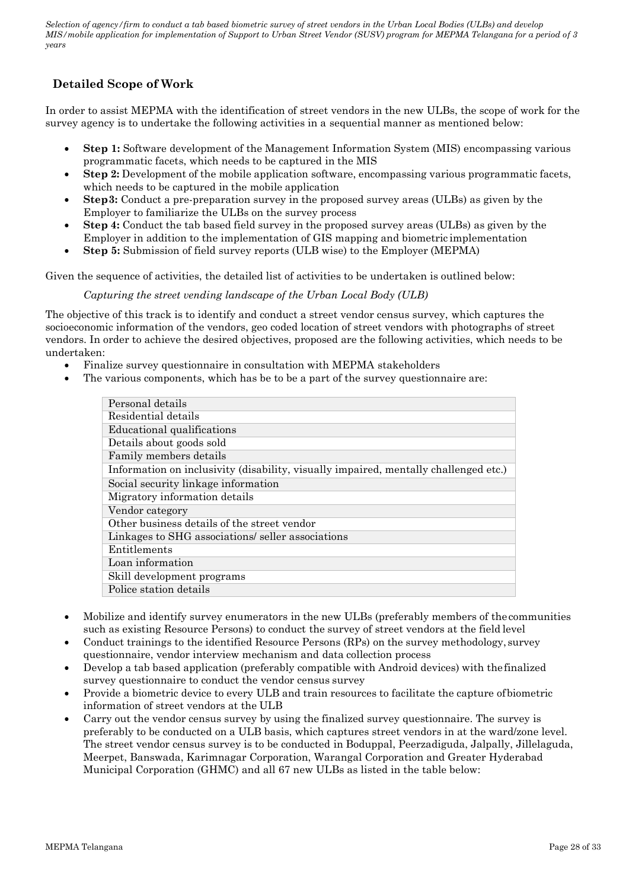# **Detailed Scope of Work**

In order to assist MEPMA with the identification of street vendors in the new ULBs, the scope of work for the survey agency is to undertake the following activities in a sequential manner as mentioned below:

- Step 1: Software development of the Management Information System (MIS) encompassing various programmatic facets, which needs to be captured in the MIS
- **Step 2:** Development of the mobile application software, encompassing various programmatic facets, which needs to be captured in the mobile application
- **Step3:** Conduct a pre-preparation survey in the proposed survey areas (ULBs) as given by the Employer to familiarize the ULBs on the survey process
- **Step 4:** Conduct the tab based field survey in the proposed survey areas (ULBs) as given by the Employer in addition to the implementation of GIS mapping and biometric implementation
- **Step 5:** Submission of field survey reports (ULB wise) to the Employer (MEPMA)

Given the sequence of activities, the detailed list of activities to be undertaken is outlined below:

### *Capturing the street vending landscape of the Urban Local Body (ULB)*

The objective of this track is to identify and conduct a street vendor census survey, which captures the socioeconomic information of the vendors, geo coded location of street vendors with photographs of street vendors. In order to achieve the desired objectives, proposed are the following activities, which needs to be undertaken:

- Finalize survey questionnaire in consultation with MEPMA stakeholders
- The various components, which has be to be a part of the survey questionnaire are:

| Personal details                                                                     |
|--------------------------------------------------------------------------------------|
|                                                                                      |
| Residential details                                                                  |
| Educational qualifications                                                           |
| Details about goods sold                                                             |
| Family members details                                                               |
| Information on inclusivity (disability, visually impaired, mentally challenged etc.) |
| Social security linkage information                                                  |
| Migratory information details                                                        |
| Vendor category                                                                      |
| Other business details of the street vendor                                          |
| Linkages to SHG associations/seller associations                                     |
| Entitlements                                                                         |
| Loan information                                                                     |
| Skill development programs                                                           |
| Police station details                                                               |

- Mobilize and identify survey enumerators in the new ULBs (preferably members of the communities such as existing Resource Persons) to conduct the survey of street vendors at the field level
- Conduct trainings to the identified Resource Persons (RPs) on the survey methodology, survey questionnaire, vendor interview mechanism and data collection process
- Develop a tab based application (preferably compatible with Android devices) with thefinalized survey questionnaire to conduct the vendor census survey
- Provide a biometric device to every ULB and train resources to facilitate the capture ofbiometric information of street vendors at the ULB
- Carry out the vendor census survey by using the finalized survey questionnaire. The survey is preferably to be conducted on a ULB basis, which captures street vendors in at the ward/zone level. The street vendor census survey is to be conducted in Boduppal, Peerzadiguda, Jalpally, Jillelaguda, Meerpet, Banswada, Karimnagar Corporation, Warangal Corporation and Greater Hyderabad Municipal Corporation (GHMC) and all 67 new ULBs as listed in the table below: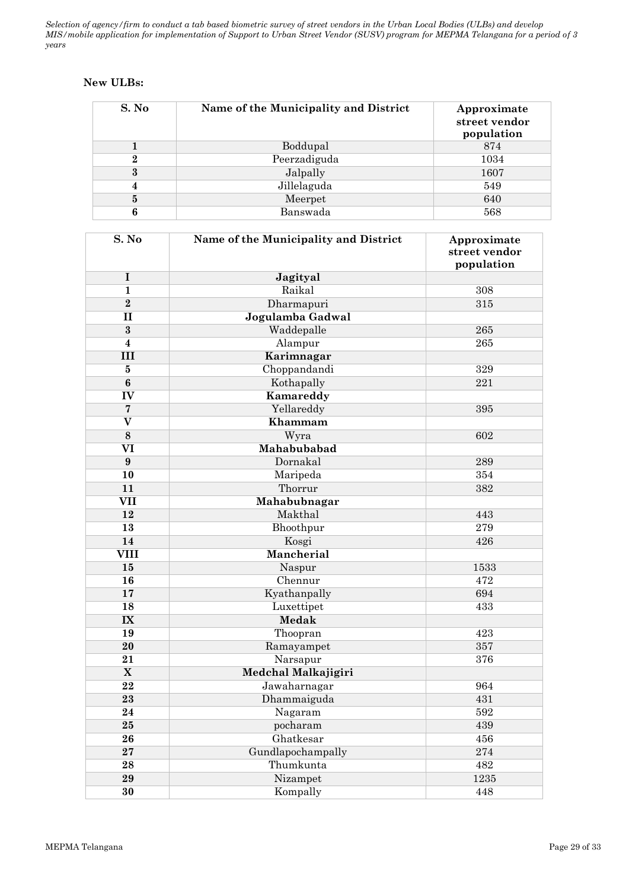## **New ULBs:**

| S. No | Name of the Municipality and District | Approximate<br>street vendor<br>population |
|-------|---------------------------------------|--------------------------------------------|
|       | Boddupal                              | 874                                        |
| 2     | Peerzadiguda                          | 1034                                       |
| 3     | Jalpally                              | 1607                                       |
|       | Jillelaguda                           | 549                                        |
| 5     | Meerpet                               | 640                                        |
|       | Banswada                              | 568                                        |

| S. No                   | Name of the Municipality and District | Approximate<br>street vendor<br>population |
|-------------------------|---------------------------------------|--------------------------------------------|
| I                       | Jagityal                              |                                            |
| $\mathbf{1}$            | Raikal                                | 308                                        |
| $\overline{2}$          | Dharmapuri                            | 315                                        |
| $\mathbf{I}$            | Jogulamba Gadwal                      |                                            |
| $\bf{3}$                | Waddepalle                            | 265                                        |
| $\boldsymbol{4}$        | Alampur                               | 265                                        |
| III                     | Karimnagar                            |                                            |
| $\bf{5}$                | Choppandandi                          | 329                                        |
| $\bf{6}$                | Kothapally                            | 221                                        |
| IV                      | Kamareddy                             |                                            |
| $\overline{7}$          | Yellareddy                            | 395                                        |
| $\overline{\textbf{V}}$ | Khammam                               |                                            |
| $\bf 8$                 | Wyra                                  | 602                                        |
| VI                      | Mahabubabad                           |                                            |
| $\boldsymbol{9}$        | Dornakal                              | 289                                        |
| 10                      | Maripeda                              | 354                                        |
| 11                      | Thorrur                               | 382                                        |
| $\overline{\text{VII}}$ | Mahabubnagar                          |                                            |
| 12                      | Makthal                               | 443                                        |
| 13                      | Bhoothpur                             | 279                                        |
| 14                      | Kosgi                                 | 426                                        |
| <b>VIII</b>             | Mancherial                            |                                            |
| 15                      | Naspur                                | 1533                                       |
| 16                      | Chennur                               | 472                                        |
| 17                      | Kyathanpally                          | 694                                        |
| 18                      | Luxettipet                            | 433                                        |
| $\mathbf{I} \mathbf{X}$ | <b>Medak</b>                          |                                            |
| 19                      | Thoopran                              | 423                                        |
| 20                      | Ramayampet                            | 357                                        |
| 21                      | Narsapur                              | 376                                        |
| $\overline{\mathbf{X}}$ | Medchal Malkajigiri                   |                                            |
| 22                      | Jawaharnagar                          | 964                                        |
| 23                      | Dhammaiguda                           | 431                                        |
| 24                      | Nagaram                               | 592                                        |
| 25                      | pocharam                              | 439                                        |
| 26                      | Ghatkesar                             | 456                                        |
| 27                      | Gundlapochampally                     | 274                                        |
| 28                      | Thumkunta                             | 482                                        |
| 29                      | Nizampet                              | 1235                                       |
| 30                      | Kompally                              | 448                                        |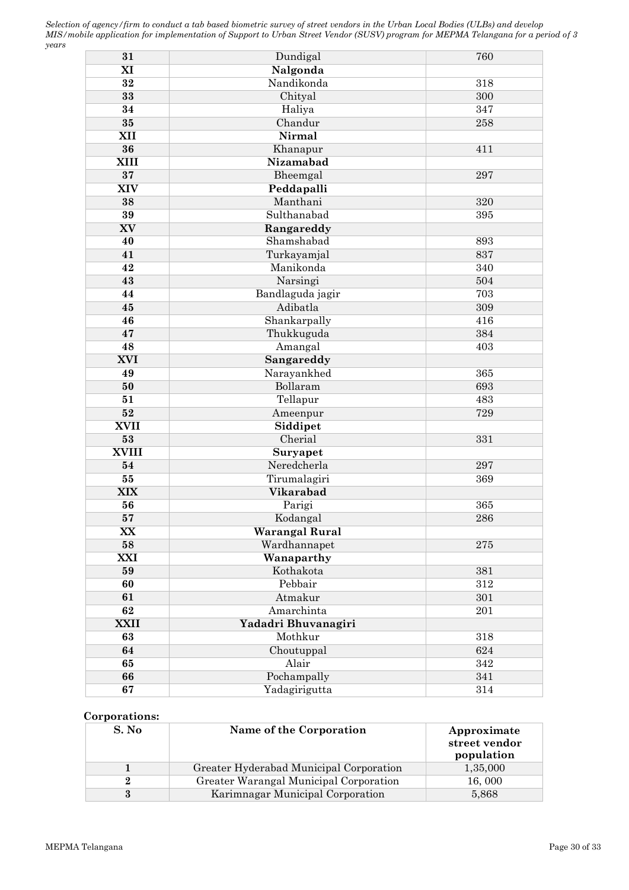| 31           | Dundigal            | 760     |
|--------------|---------------------|---------|
| XI           | Nalgonda            |         |
| 32           | Nandikonda          | 318     |
| 33           | Chityal             | 300     |
| 34           | Haliya              | 347     |
| $35\,$       | Chandur             | 258     |
| XII          | Nirmal              |         |
| 36           | Khanapur            | 411     |
| <b>XIII</b>  | Nizamabad           |         |
| 37           | Bheemgal            | 297     |
| <b>XIV</b>   | Peddapalli          |         |
| 38           | Manthani            | 320     |
| 39           | Sulthanabad         | 395     |
| XV           | Rangareddy          |         |
| 40           | Shamshabad          | 893     |
| 41           | Turkayamjal         | 837     |
| 42           | Manikonda           | 340     |
| 43           | Narsingi            | 504     |
| 44           | Bandlaguda jagir    | 703     |
| 45           | Adibatla            | 309     |
| 46           | Shankarpally        | 416     |
| 47           | Thukkuguda          | 384     |
| 48           | Amangal             | 403     |
| <b>XVI</b>   | Sangareddy          |         |
| 49           | Narayankhed         | 365     |
| 50           | Bollaram            | 693     |
| 51           | Tellapur            | 483     |
| 52           | Ameenpur            | 729     |
| <b>XVII</b>  | Siddipet            |         |
| ${\bf 53}$   | Cherial             | 331     |
| <b>XVIII</b> | Suryapet            |         |
| 54           | Neredcherla         | 297     |
| 55           | Tirumalagiri        | 369     |
| <b>XIX</b>   | <b>Vikarabad</b>    |         |
| 56           | Parigi              | 365     |
| ${\bf 57}$   | Kodangal            | 286     |
| XX           | Warangal Rural      |         |
| 58           | Wardhannapet        | 275     |
| <b>XXI</b>   | Wanaparthy          |         |
| 59           | Kothakota           | 381     |
| 60           | Pebbair             | $312\,$ |
| 61           | Atmakur             | 301     |
| 62           | Amarchinta          | 201     |
| <b>XXII</b>  | Yadadri Bhuvanagiri |         |
| 63           | Mothkur             | 318     |
| 64           | Choutuppal          | 624     |
| 65           | Alair               | 342     |
| 66           | Pochampally         | 341     |
| 67           | Yadagirigutta       | 314     |
|              |                     |         |

## **Corporations:**

| S. No | Name of the Corporation                 | Approximate<br>street vendor<br>population |
|-------|-----------------------------------------|--------------------------------------------|
|       | Greater Hyderabad Municipal Corporation | 1,35,000                                   |
|       | Greater Warangal Municipal Corporation  | 16,000                                     |
|       | Karimnagar Municipal Corporation        | 5,868                                      |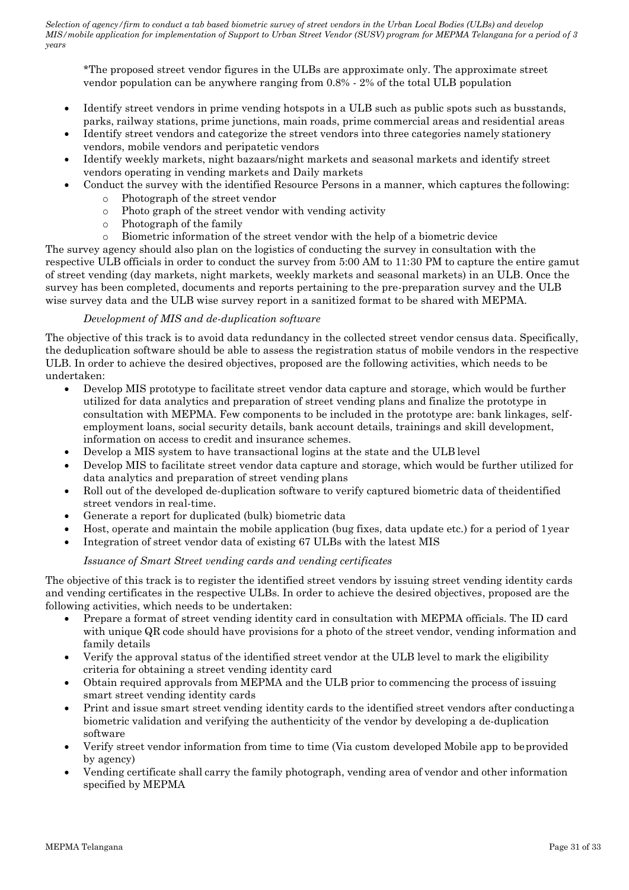\*The proposed street vendor figures in the ULBs are approximate only. The approximate street vendor population can be anywhere ranging from 0.8% - 2% of the total ULB population

- Identify street vendors in prime vending hotspots in a ULB such as public spots such as busstands, parks, railway stations, prime junctions, main roads, prime commercial areas and residential areas
- Identify street vendors and categorize the street vendors into three categories namely stationery vendors, mobile vendors and peripatetic vendors
- Identify weekly markets, night bazaars/night markets and seasonal markets and identify street vendors operating in vending markets and Daily markets
	- Conduct the survey with the identified Resource Persons in a manner, which captures the following:
		- o Photograph of the street vendor
		- o Photo graph of the street vendor with vending activity
		- o Photograph of the family
		- o Biometric information of the street vendor with the help of a biometric device

The survey agency should also plan on the logistics of conducting the survey in consultation with the respective ULB officials in order to conduct the survey from 5:00 AM to 11:30 PM to capture the entire gamut of street vending (day markets, night markets, weekly markets and seasonal markets) in an ULB. Once the survey has been completed, documents and reports pertaining to the pre-preparation survey and the ULB wise survey data and the ULB wise survey report in a sanitized format to be shared with MEPMA.

## *Development of MIS and de-duplication software*

The objective of this track is to avoid data redundancy in the collected street vendor census data. Specifically, the deduplication software should be able to assess the registration status of mobile vendors in the respective ULB. In order to achieve the desired objectives, proposed are the following activities, which needs to be undertaken:

- Develop MIS prototype to facilitate street vendor data capture and storage, which would be further utilized for data analytics and preparation of street vending plans and finalize the prototype in consultation with MEPMA. Few components to be included in the prototype are: bank linkages, selfemployment loans, social security details, bank account details, trainings and skill development, information on access to credit and insurance schemes.
- Develop a MIS system to have transactional logins at the state and the ULB level
- Develop MIS to facilitate street vendor data capture and storage, which would be further utilized for data analytics and preparation of street vending plans
- Roll out of the developed de-duplication software to verify captured biometric data of theidentified street vendors in real-time.
- Generate a report for duplicated (bulk) biometric data
- Host, operate and maintain the mobile application (bug fixes, data update etc.) for a period of 1year
- Integration of street vendor data of existing 67 ULBs with the latest MIS

### *Issuance of Smart Street vending cards and vending certificates*

The objective of this track is to register the identified street vendors by issuing street vending identity cards and vending certificates in the respective ULBs. In order to achieve the desired objectives, proposed are the following activities, which needs to be undertaken:

- Prepare a format of street vending identity card in consultation with MEPMA officials. The ID card with unique QR code should have provisions for a photo of the street vendor, vending information and family details
- Verify the approval status of the identified street vendor at the ULB level to mark the eligibility criteria for obtaining a street vending identity card
- Obtain required approvals from MEPMA and the ULB prior to commencing the process of issuing smart street vending identity cards
- Print and issue smart street vending identity cards to the identified street vendors after conductinga biometric validation and verifying the authenticity of the vendor by developing a de-duplication software
- Verify street vendor information from time to time (Via custom developed Mobile app to beprovided by agency)
- Vending certificate shall carry the family photograph, vending area of vendor and other information specified by MEPMA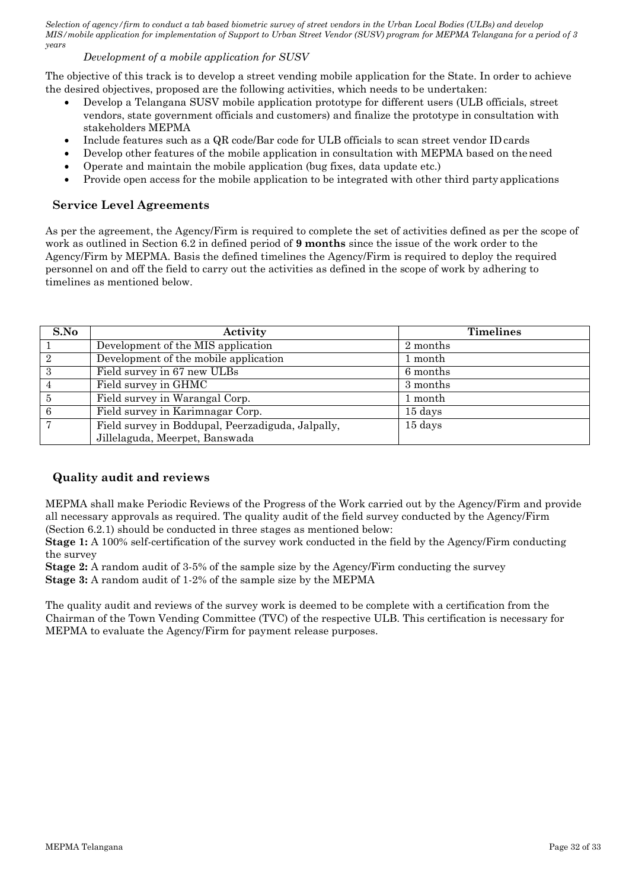## *Development of a mobile application for SUSV*

The objective of this track is to develop a street vending mobile application for the State. In order to achieve the desired objectives, proposed are the following activities, which needs to be undertaken:

- Develop a Telangana SUSV mobile application prototype for different users (ULB officials, street vendors, state government officials and customers) and finalize the prototype in consultation with stakeholders MEPMA
- Include features such as a QR code/Bar code for ULB officials to scan street vendor ID cards
- Develop other features of the mobile application in consultation with MEPMA based on the need
- Operate and maintain the mobile application (bug fixes, data update etc.)
- Provide open access for the mobile application to be integrated with other third party applications

## **Service Level Agreements**

As per the agreement, the Agency/Firm is required to complete the set of activities defined as per the scope of work as outlined in Section 6.2 in defined period of **9 months** since the issue of the work order to the Agency/Firm by MEPMA. Basis the defined timelines the Agency/Firm is required to deploy the required personnel on and off the field to carry out the activities as defined in the scope of work by adhering to timelines as mentioned below.

| S.No           | Activity                                          | <b>Timelines</b> |
|----------------|---------------------------------------------------|------------------|
|                | Development of the MIS application                | 2 months         |
| -2             | Development of the mobile application             | month            |
| $\mathcal{S}$  | Field survey in 67 new ULBs                       | 6 months         |
|                | Field survey in GHMC                              | 3 months         |
| $\overline{5}$ | Field survey in Warangal Corp.                    | l month          |
| 6              | Field survey in Karimnagar Corp.                  | 15 days          |
|                | Field survey in Boddupal, Peerzadiguda, Jalpally, | 15 days          |
|                | Jillelaguda, Meerpet, Banswada                    |                  |

## **Quality audit and reviews**

MEPMA shall make Periodic Reviews of the Progress of the Work carried out by the Agency/Firm and provide all necessary approvals as required. The quality audit of the field survey conducted by the Agency/Firm (Section 6.2.1) should be conducted in three stages as mentioned below:

**Stage 1:** A 100% self-certification of the survey work conducted in the field by the Agency/Firm conducting the survey

**Stage 2:** A random audit of 3-5% of the sample size by the Agency/Firm conducting the survey **Stage 3:** A random audit of 1-2% of the sample size by the MEPMA

The quality audit and reviews of the survey work is deemed to be complete with a certification from the Chairman of the Town Vending Committee (TVC) of the respective ULB. This certification is necessary for MEPMA to evaluate the Agency/Firm for payment release purposes.